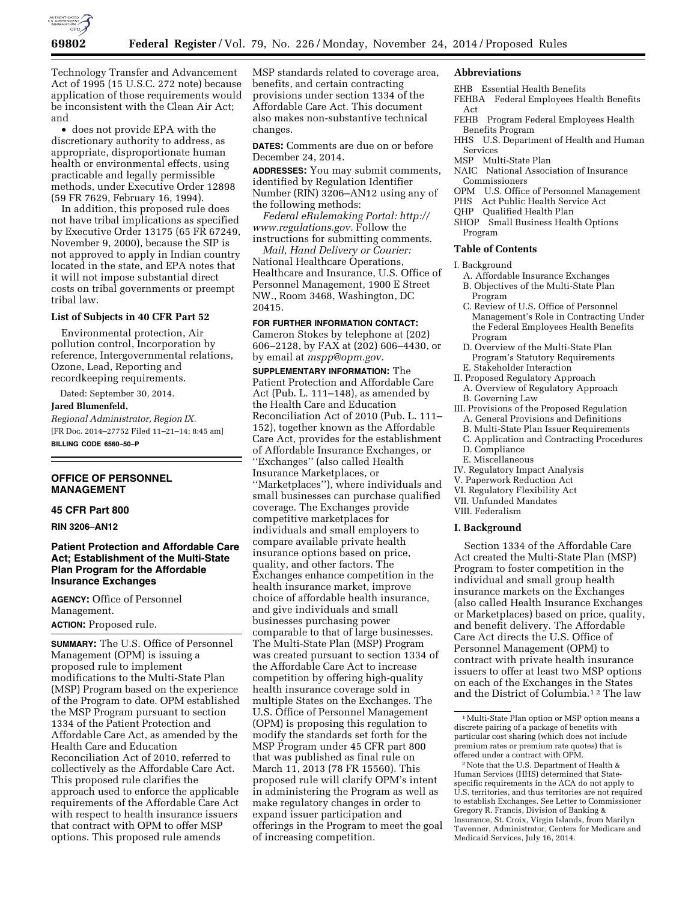

Technology Transfer and Advancement Act of 1995 (15 U.S.C. 272 note) because application of those requirements would be inconsistent with the Clean Air Act; and

• does not provide EPA with the discretionary authority to address, as appropriate, disproportionate human health or environmental effects, using practicable and legally permissible methods, under Executive Order 12898 (59 FR 7629, February 16, 1994).

In addition, this proposed rule does not have tribal implications as specified by Executive Order 13175 (65 FR 67249, November 9, 2000), because the SIP is not approved to apply in Indian country located in the state, and EPA notes that it will not impose substantial direct costs on tribal governments or preempt tribal law.

### **List of Subjects in 40 CFR Part 52**

Environmental protection, Air pollution control, Incorporation by reference, Intergovernmental relations, Ozone, Lead, Reporting and recordkeeping requirements.

Dated: September 30, 2014.

#### **Jared Blumenfeld,**

*Regional Administrator, Region IX.*  [FR Doc. 2014–27752 Filed 11–21–14; 8:45 am] **BILLING CODE 6560–50–P** 

**OFFICE OF PERSONNEL MANAGEMENT** 

#### **45 CFR Part 800**

**RIN 3206–AN12** 

## **Patient Protection and Affordable Care Act; Establishment of the Multi-State Plan Program for the Affordable Insurance Exchanges**

**AGENCY:** Office of Personnel Management. **ACTION:** Proposed rule.

**SUMMARY:** The U.S. Office of Personnel Management (OPM) is issuing a proposed rule to implement modifications to the Multi-State Plan (MSP) Program based on the experience of the Program to date. OPM established the MSP Program pursuant to section 1334 of the Patient Protection and Affordable Care Act, as amended by the Health Care and Education Reconciliation Act of 2010, referred to collectively as the Affordable Care Act. This proposed rule clarifies the approach used to enforce the applicable requirements of the Affordable Care Act with respect to health insurance issuers that contract with OPM to offer MSP options. This proposed rule amends

MSP standards related to coverage area, benefits, and certain contracting provisions under section 1334 of the Affordable Care Act. This document also makes non-substantive technical changes.

**DATES:** Comments are due on or before December 24, 2014.

**ADDRESSES:** You may submit comments, identified by Regulation Identifier Number (RIN) 3206–AN12 using any of the following methods:

*Federal eRulemaking Portal: [http://](http://www.regulations.gov) [www.regulations.gov.](http://www.regulations.gov)* Follow the instructions for submitting comments.

*Mail, Hand Delivery or Courier:*  National Healthcare Operations, Healthcare and Insurance, U.S. Office of Personnel Management, 1900 E Street NW., Room 3468, Washington, DC 20415.

### **FOR FURTHER INFORMATION CONTACT:**

Cameron Stokes by telephone at (202) 606–2128, by FAX at (202) 606–4430, or by email at *[mspp@opm.gov.](mailto:mspp@opm.gov)* 

**SUPPLEMENTARY INFORMATION:** The Patient Protection and Affordable Care Act (Pub. L. 111–148), as amended by the Health Care and Education Reconciliation Act of 2010 (Pub. L. 111– 152), together known as the Affordable Care Act, provides for the establishment of Affordable Insurance Exchanges, or ''Exchanges'' (also called Health Insurance Marketplaces, or ''Marketplaces''), where individuals and small businesses can purchase qualified coverage. The Exchanges provide competitive marketplaces for individuals and small employers to compare available private health insurance options based on price, quality, and other factors. The Exchanges enhance competition in the health insurance market, improve choice of affordable health insurance, and give individuals and small businesses purchasing power comparable to that of large businesses. The Multi-State Plan (MSP) Program was created pursuant to section 1334 of the Affordable Care Act to increase competition by offering high-quality health insurance coverage sold in multiple States on the Exchanges. The U.S. Office of Personnel Management (OPM) is proposing this regulation to modify the standards set forth for the MSP Program under 45 CFR part 800 that was published as final rule on March 11, 2013 (78 FR 15560). This proposed rule will clarify OPM's intent in administering the Program as well as make regulatory changes in order to expand issuer participation and offerings in the Program to meet the goal of increasing competition.

### **Abbreviations**

- EHB Essential Health Benefits
- FEHBA Federal Employees Health Benefits Act<br>FEHB
- Program Federal Employees Health Benefits Program
- HHS U.S. Department of Health and Human Services
- MSP Multi-State Plan
- NAIC National Association of Insurance Commissioners
- OPM U.S. Office of Personnel Management
- PHS Act Public Health Service Act
- QHP Qualified Health Plan
- SHOP Small Business Health Options Program

### **Table of Contents**

- I. Background
	- A. Affordable Insurance Exchanges
	- B. Objectives of the Multi-State Plan Program
	- C. Review of U.S. Office of Personnel Management's Role in Contracting Under the Federal Employees Health Benefits Program
- D. Overview of the Multi-State Plan Program's Statutory Requirements
- E. Stakeholder Interaction
- II. Proposed Regulatory Approach
- A. Overview of Regulatory Approach B. Governing Law
- III. Provisions of the Proposed Regulation A. General Provisions and Definitions
	- B. Multi-State Plan Issuer Requirements
	- C. Application and Contracting Procedures
	- D. Compliance
	- E. Miscellaneous
- IV. Regulatory Impact Analysis
- V. Paperwork Reduction Act
- VI. Regulatory Flexibility Act
- VII. Unfunded Mandates
- VIII. Federalism

### **I. Background**

Section 1334 of the Affordable Care Act created the Multi-State Plan (MSP) Program to foster competition in the individual and small group health insurance markets on the Exchanges (also called Health Insurance Exchanges or Marketplaces) based on price, quality, and benefit delivery. The Affordable Care Act directs the U.S. Office of Personnel Management (OPM) to contract with private health insurance issuers to offer at least two MSP options on each of the Exchanges in the States and the District of Columbia.1 2 The law

<sup>1</sup>Multi-State Plan option or MSP option means a discrete pairing of a package of benefits with particular cost sharing (which does not include premium rates or premium rate quotes) that is offered under a contract with OPM.

<sup>2</sup>Note that the U.S. Department of Health & Human Services (HHS) determined that Statespecific requirements in the ACA do not apply to U.S. territories, and thus territories are not required to establish Exchanges. See Letter to Commissioner Gregory R. Francis, Division of Banking & Insurance, St. Croix, Virgin Islands, from Marilyn Tavenner, Administrator, Centers for Medicare and Medicaid Services, July 16, 2014.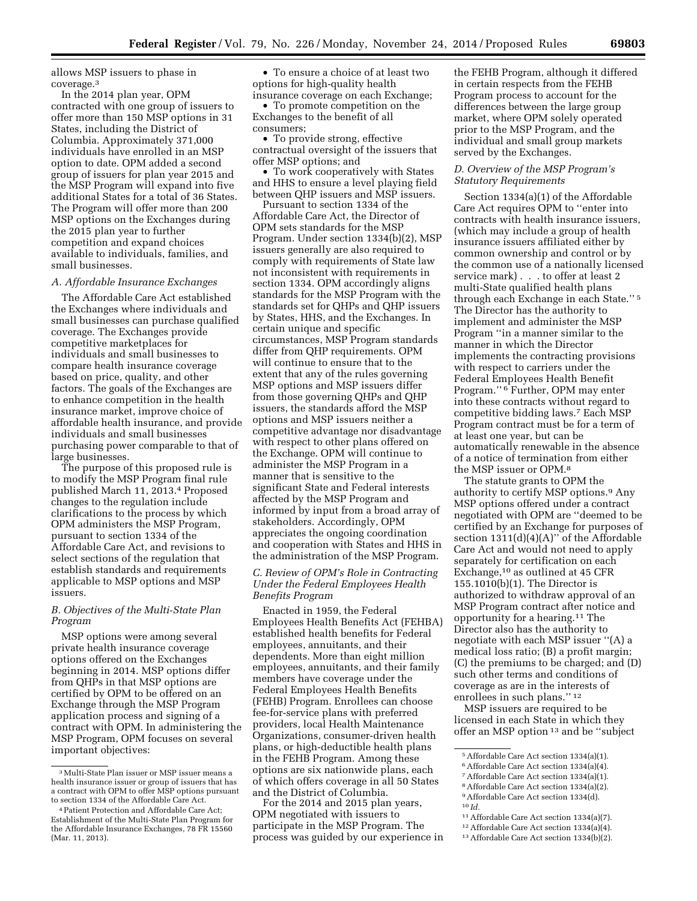allows MSP issuers to phase in coverage.3

In the 2014 plan year, OPM contracted with one group of issuers to offer more than 150 MSP options in 31 States, including the District of Columbia. Approximately 371,000 individuals have enrolled in an MSP option to date. OPM added a second group of issuers for plan year 2015 and the MSP Program will expand into five additional States for a total of 36 States. The Program will offer more than 200 MSP options on the Exchanges during the 2015 plan year to further competition and expand choices available to individuals, families, and small businesses.

### *A. Affordable Insurance Exchanges*

The Affordable Care Act established the Exchanges where individuals and small businesses can purchase qualified coverage. The Exchanges provide competitive marketplaces for individuals and small businesses to compare health insurance coverage based on price, quality, and other factors. The goals of the Exchanges are to enhance competition in the health insurance market, improve choice of affordable health insurance, and provide individuals and small businesses purchasing power comparable to that of large businesses.

The purpose of this proposed rule is to modify the MSP Program final rule published March 11, 2013.4 Proposed changes to the regulation include clarifications to the process by which OPM administers the MSP Program, pursuant to section 1334 of the Affordable Care Act, and revisions to select sections of the regulation that establish standards and requirements applicable to MSP options and MSP issuers.

## *B. Objectives of the Multi-State Plan Program*

MSP options were among several private health insurance coverage options offered on the Exchanges beginning in 2014. MSP options differ from QHPs in that MSP options are certified by OPM to be offered on an Exchange through the MSP Program application process and signing of a contract with OPM. In administering the MSP Program, OPM focuses on several important objectives:

• To ensure a choice of at least two options for high-quality health insurance coverage on each Exchange;

• To promote competition on the Exchanges to the benefit of all consumers;

• To provide strong, effective contractual oversight of the issuers that offer MSP options; and

• To work cooperatively with States and HHS to ensure a level playing field between QHP issuers and MSP issuers.

Pursuant to section 1334 of the Affordable Care Act, the Director of OPM sets standards for the MSP Program. Under section 1334(b)(2), MSP issuers generally are also required to comply with requirements of State law not inconsistent with requirements in section 1334. OPM accordingly aligns standards for the MSP Program with the standards set for QHPs and QHP issuers by States, HHS, and the Exchanges. In certain unique and specific circumstances, MSP Program standards differ from QHP requirements. OPM will continue to ensure that to the extent that any of the rules governing MSP options and MSP issuers differ from those governing QHPs and QHP issuers, the standards afford the MSP options and MSP issuers neither a competitive advantage nor disadvantage with respect to other plans offered on the Exchange. OPM will continue to administer the MSP Program in a manner that is sensitive to the significant State and Federal interests affected by the MSP Program and informed by input from a broad array of stakeholders. Accordingly, OPM appreciates the ongoing coordination and cooperation with States and HHS in the administration of the MSP Program.

## *C. Review of OPM's Role in Contracting Under the Federal Employees Health Benefits Program*

Enacted in 1959, the Federal Employees Health Benefits Act (FEHBA) established health benefits for Federal employees, annuitants, and their dependents. More than eight million employees, annuitants, and their family members have coverage under the Federal Employees Health Benefits (FEHB) Program. Enrollees can choose fee-for-service plans with preferred providers, local Health Maintenance Organizations, consumer-driven health plans, or high-deductible health plans in the FEHB Program. Among these options are six nationwide plans, each of which offers coverage in all 50 States and the District of Columbia.

For the 2014 and 2015 plan years, OPM negotiated with issuers to participate in the MSP Program. The process was guided by our experience in

the FEHB Program, although it differed in certain respects from the FEHB Program process to account for the differences between the large group market, where OPM solely operated prior to the MSP Program, and the individual and small group markets served by the Exchanges.

### *D. Overview of the MSP Program's Statutory Requirements*

Section 1334(a)(1) of the Affordable Care Act requires OPM to ''enter into contracts with health insurance issuers, (which may include a group of health insurance issuers affiliated either by common ownership and control or by the common use of a nationally licensed service mark) . . . to offer at least 2 multi-State qualified health plans through each Exchange in each State.'' 5 The Director has the authority to implement and administer the MSP Program ''in a manner similar to the manner in which the Director implements the contracting provisions with respect to carriers under the Federal Employees Health Benefit Program.'' 6 Further, OPM may enter into these contracts without regard to competitive bidding laws.7 Each MSP Program contract must be for a term of at least one year, but can be automatically renewable in the absence of a notice of termination from either the MSP issuer or OPM.8

The statute grants to OPM the authority to certify MSP options.9 Any MSP options offered under a contract negotiated with OPM are ''deemed to be certified by an Exchange for purposes of section  $1311(d)(4)(A)$ " of the Affordable Care Act and would not need to apply separately for certification on each Exchange,10 as outlined at 45 CFR 155.1010(b)(1). The Director is authorized to withdraw approval of an MSP Program contract after notice and opportunity for a hearing.11 The Director also has the authority to negotiate with each MSP issuer ''(A) a medical loss ratio; (B) a profit margin; (C) the premiums to be charged; and (D) such other terms and conditions of coverage as are in the interests of enrollees in such plans."<sup>12</sup>

MSP issuers are required to be licensed in each State in which they offer an MSP option 13 and be ''subject

11Affordable Care Act section 1334(a)(7).

<sup>3</sup>Multi-State Plan issuer or MSP issuer means a health insurance issuer or group of issuers that has a contract with OPM to offer MSP options pursuant to section 1334 of the Affordable Care Act.

<sup>4</sup>Patient Protection and Affordable Care Act; Establishment of the Multi-State Plan Program for the Affordable Insurance Exchanges, 78 FR 15560 (Mar. 11, 2013).

<sup>5</sup>Affordable Care Act section 1334(a)(1).

<sup>6</sup>Affordable Care Act section 1334(a)(4).

<sup>7</sup>Affordable Care Act section 1334(a)(1).

<sup>8</sup>Affordable Care Act section 1334(a)(2).

<sup>9</sup>Affordable Care Act section 1334(d). 10 *Id.* 

<sup>12</sup>Affordable Care Act section 1334(a)(4).

<sup>13</sup>Affordable Care Act section 1334(b)(2).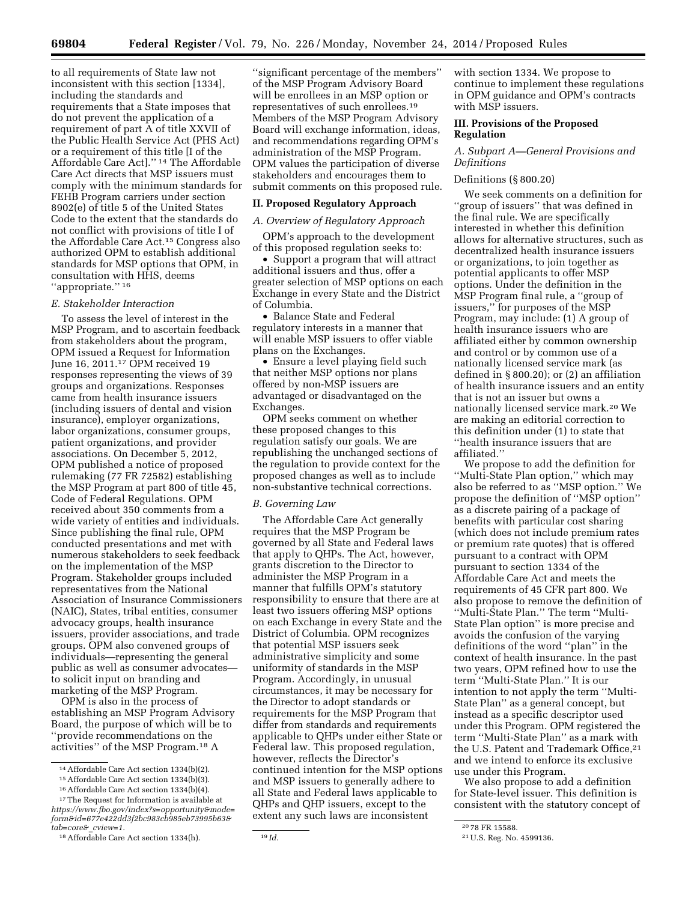to all requirements of State law not inconsistent with this section [1334], including the standards and requirements that a State imposes that do not prevent the application of a requirement of part A of title XXVII of the Public Health Service Act (PHS Act) or a requirement of this title [I of the Affordable Care Act].'' 14 The Affordable Care Act directs that MSP issuers must comply with the minimum standards for FEHB Program carriers under section 8902(e) of title 5 of the United States Code to the extent that the standards do not conflict with provisions of title I of the Affordable Care Act.15 Congress also authorized OPM to establish additional standards for MSP options that OPM, in consultation with HHS, deems "appropriate."<sup>16</sup>

### *E. Stakeholder Interaction*

To assess the level of interest in the MSP Program, and to ascertain feedback from stakeholders about the program, OPM issued a Request for Information June 16, 2011.17 OPM received 19 responses representing the views of 39 groups and organizations. Responses came from health insurance issuers (including issuers of dental and vision insurance), employer organizations, labor organizations, consumer groups, patient organizations, and provider associations. On December 5, 2012, OPM published a notice of proposed rulemaking (77 FR 72582) establishing the MSP Program at part 800 of title 45, Code of Federal Regulations. OPM received about 350 comments from a wide variety of entities and individuals. Since publishing the final rule, OPM conducted presentations and met with numerous stakeholders to seek feedback on the implementation of the MSP Program. Stakeholder groups included representatives from the National Association of Insurance Commissioners (NAIC), States, tribal entities, consumer advocacy groups, health insurance issuers, provider associations, and trade groups. OPM also convened groups of individuals—representing the general public as well as consumer advocates to solicit input on branding and marketing of the MSP Program.

OPM is also in the process of establishing an MSP Program Advisory Board, the purpose of which will be to ''provide recommendations on the activities'' of the MSP Program.18 A

16Affordable Care Act section 1334(b)(4).

''significant percentage of the members'' of the MSP Program Advisory Board will be enrollees in an MSP option or representatives of such enrollees.19 Members of the MSP Program Advisory Board will exchange information, ideas, and recommendations regarding OPM's administration of the MSP Program. OPM values the participation of diverse stakeholders and encourages them to submit comments on this proposed rule.

#### **II. Proposed Regulatory Approach**

#### *A. Overview of Regulatory Approach*

OPM's approach to the development of this proposed regulation seeks to:

Support a program that will attract additional issuers and thus, offer a greater selection of MSP options on each Exchange in every State and the District of Columbia.

• Balance State and Federal regulatory interests in a manner that will enable MSP issuers to offer viable plans on the Exchanges.

• Ensure a level playing field such that neither MSP options nor plans offered by non-MSP issuers are advantaged or disadvantaged on the Exchanges.

OPM seeks comment on whether these proposed changes to this regulation satisfy our goals. We are republishing the unchanged sections of the regulation to provide context for the proposed changes as well as to include non-substantive technical corrections.

#### *B. Governing Law*

The Affordable Care Act generally requires that the MSP Program be governed by all State and Federal laws that apply to QHPs. The Act, however, grants discretion to the Director to administer the MSP Program in a manner that fulfills OPM's statutory responsibility to ensure that there are at least two issuers offering MSP options on each Exchange in every State and the District of Columbia. OPM recognizes that potential MSP issuers seek administrative simplicity and some uniformity of standards in the MSP Program. Accordingly, in unusual circumstances, it may be necessary for the Director to adopt standards or requirements for the MSP Program that differ from standards and requirements applicable to QHPs under either State or Federal law. This proposed regulation, however, reflects the Director's continued intention for the MSP options and MSP issuers to generally adhere to all State and Federal laws applicable to QHPs and QHP issuers, except to the extent any such laws are inconsistent

with section 1334. We propose to continue to implement these regulations in OPM guidance and OPM's contracts with MSP issuers.

## **III. Provisions of the Proposed Regulation**

### *A. Subpart A—General Provisions and Definitions*

#### Definitions (§ 800.20)

We seek comments on a definition for ''group of issuers'' that was defined in the final rule. We are specifically interested in whether this definition allows for alternative structures, such as decentralized health insurance issuers or organizations, to join together as potential applicants to offer MSP options. Under the definition in the MSP Program final rule, a ''group of issuers,'' for purposes of the MSP Program, may include: (1) A group of health insurance issuers who are affiliated either by common ownership and control or by common use of a nationally licensed service mark (as defined in § 800.20); or (2) an affiliation of health insurance issuers and an entity that is not an issuer but owns a nationally licensed service mark.20 We are making an editorial correction to this definition under (1) to state that ''health insurance issuers that are affiliated.''

We propose to add the definition for ''Multi-State Plan option,'' which may also be referred to as ''MSP option.'' We propose the definition of ''MSP option'' as a discrete pairing of a package of benefits with particular cost sharing (which does not include premium rates or premium rate quotes) that is offered pursuant to a contract with OPM pursuant to section 1334 of the Affordable Care Act and meets the requirements of 45 CFR part 800. We also propose to remove the definition of ''Multi-State Plan.'' The term ''Multi-State Plan option'' is more precise and avoids the confusion of the varying definitions of the word ''plan'' in the context of health insurance. In the past two years, OPM refined how to use the term ''Multi-State Plan.'' It is our intention to not apply the term ''Multi-State Plan'' as a general concept, but instead as a specific descriptor used under this Program. OPM registered the term ''Multi-State Plan'' as a mark with the U.S. Patent and Trademark Office,<sup>21</sup> and we intend to enforce its exclusive use under this Program.

We also propose to add a definition for State-level issuer. This definition is consistent with the statutory concept of

<sup>14</sup>Affordable Care Act section 1334(b)(2).

<sup>15</sup>Affordable Care Act section 1334(b)(3).

<sup>17</sup>The Request for Information is available at

*[https://www.fbo.gov/index?s=opportunity&mode=](https://www.fbo.gov/index?s=opportunity&mode=form&id=677e422dd3f2bc983cb985eb73995b63&tab=core&_cview=1) [form&id=677e422dd3f2bc983cb985eb73995b63&](https://www.fbo.gov/index?s=opportunity&mode=form&id=677e422dd3f2bc983cb985eb73995b63&tab=core&_cview=1) [tab=core&](https://www.fbo.gov/index?s=opportunity&mode=form&id=677e422dd3f2bc983cb985eb73995b63&tab=core&_cview=1)*\_*cview=1.* 

<sup>18</sup>Affordable Care Act section 1334(h). 19 *Id.* 

<sup>20</sup> 78 FR 15588.

<sup>21</sup>U.S. Reg. No. 4599136.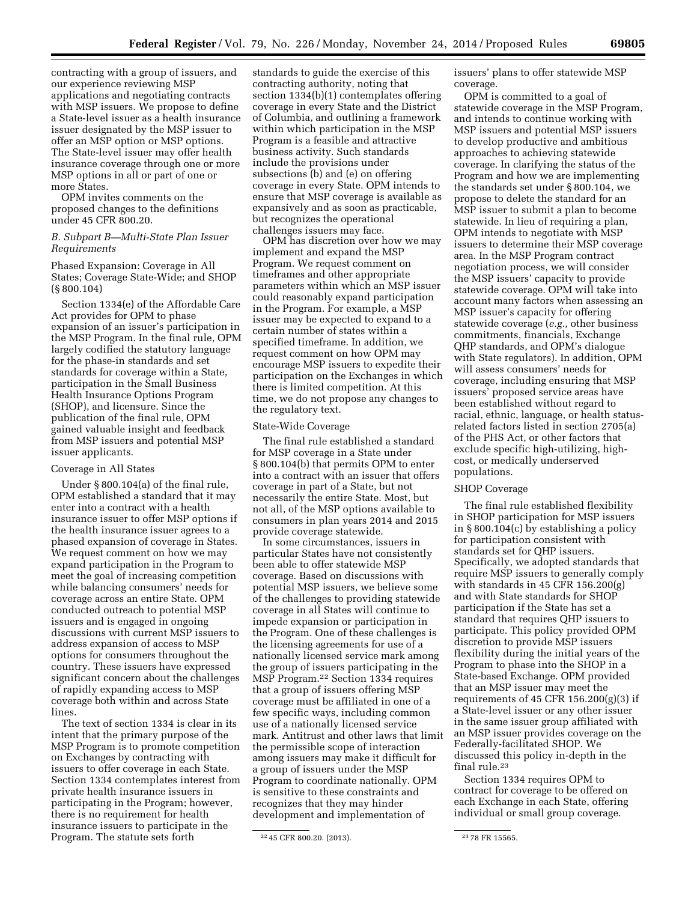contracting with a group of issuers, and our experience reviewing MSP applications and negotiating contracts with MSP issuers. We propose to define a State-level issuer as a health insurance issuer designated by the MSP issuer to offer an MSP option or MSP options.

The State-level issuer may offer health insurance coverage through one or more MSP options in all or part of one or more States.

OPM invites comments on the proposed changes to the definitions under 45 CFR 800.20.

### *B. Subpart B—Multi-State Plan Issuer Requirements*

Phased Expansion: Coverage in All States; Coverage State-Wide; and SHOP (§ 800.104)

Section 1334(e) of the Affordable Care Act provides for OPM to phase expansion of an issuer's participation in the MSP Program. In the final rule, OPM largely codified the statutory language for the phase-in standards and set standards for coverage within a State, participation in the Small Business Health Insurance Options Program (SHOP), and licensure. Since the publication of the final rule, OPM gained valuable insight and feedback from MSP issuers and potential MSP issuer applicants.

#### Coverage in All States

Under § 800.104(a) of the final rule, OPM established a standard that it may enter into a contract with a health insurance issuer to offer MSP options if the health insurance issuer agrees to a phased expansion of coverage in States. We request comment on how we may expand participation in the Program to meet the goal of increasing competition while balancing consumers' needs for coverage across an entire State. OPM conducted outreach to potential MSP issuers and is engaged in ongoing discussions with current MSP issuers to address expansion of access to MSP options for consumers throughout the country. These issuers have expressed significant concern about the challenges of rapidly expanding access to MSP coverage both within and across State lines.

The text of section 1334 is clear in its intent that the primary purpose of the MSP Program is to promote competition on Exchanges by contracting with issuers to offer coverage in each State. Section 1334 contemplates interest from private health insurance issuers in participating in the Program; however, there is no requirement for health insurance issuers to participate in the Program. The statute sets forth

standards to guide the exercise of this contracting authority, noting that section 1334(b)(1) contemplates offering coverage in every State and the District of Columbia, and outlining a framework within which participation in the MSP Program is a feasible and attractive business activity. Such standards include the provisions under subsections (b) and (e) on offering coverage in every State. OPM intends to ensure that MSP coverage is available as expansively and as soon as practicable, but recognizes the operational challenges issuers may face.

OPM has discretion over how we may implement and expand the MSP Program. We request comment on timeframes and other appropriate parameters within which an MSP issuer could reasonably expand participation in the Program. For example, a MSP issuer may be expected to expand to a certain number of states within a specified timeframe. In addition, we request comment on how OPM may encourage MSP issuers to expedite their participation on the Exchanges in which there is limited competition. At this time, we do not propose any changes to the regulatory text.

### State-Wide Coverage

The final rule established a standard for MSP coverage in a State under § 800.104(b) that permits OPM to enter into a contract with an issuer that offers coverage in part of a State, but not necessarily the entire State. Most, but not all, of the MSP options available to consumers in plan years 2014 and 2015 provide coverage statewide.

In some circumstances, issuers in particular States have not consistently been able to offer statewide MSP coverage. Based on discussions with potential MSP issuers, we believe some of the challenges to providing statewide coverage in all States will continue to impede expansion or participation in the Program. One of these challenges is the licensing agreements for use of a nationally licensed service mark among the group of issuers participating in the MSP Program.22 Section 1334 requires that a group of issuers offering MSP coverage must be affiliated in one of a few specific ways, including common use of a nationally licensed service mark. Antitrust and other laws that limit the permissible scope of interaction among issuers may make it difficult for a group of issuers under the MSP Program to coordinate nationally. OPM is sensitive to these constraints and recognizes that they may hinder development and implementation of

issuers' plans to offer statewide MSP coverage.

OPM is committed to a goal of statewide coverage in the MSP Program, and intends to continue working with MSP issuers and potential MSP issuers to develop productive and ambitious approaches to achieving statewide coverage. In clarifying the status of the Program and how we are implementing the standards set under § 800.104, we propose to delete the standard for an MSP issuer to submit a plan to become statewide. In lieu of requiring a plan, OPM intends to negotiate with MSP issuers to determine their MSP coverage area. In the MSP Program contract negotiation process, we will consider the MSP issuers' capacity to provide statewide coverage. OPM will take into account many factors when assessing an MSP issuer's capacity for offering statewide coverage (*e.g.,* other business commitments, financials, Exchange QHP standards, and OPM's dialogue with State regulators). In addition, OPM will assess consumers' needs for coverage, including ensuring that MSP issuers' proposed service areas have been established without regard to racial, ethnic, language, or health statusrelated factors listed in section 2705(a) of the PHS Act, or other factors that exclude specific high-utilizing, highcost, or medically underserved populations.

### SHOP Coverage

The final rule established flexibility in SHOP participation for MSP issuers in § 800.104(c) by establishing a policy for participation consistent with standards set for QHP issuers. Specifically, we adopted standards that require MSP issuers to generally comply with standards in 45 CFR 156.200(g) and with State standards for SHOP participation if the State has set a standard that requires QHP issuers to participate. This policy provided OPM discretion to provide MSP issuers flexibility during the initial years of the Program to phase into the SHOP in a State-based Exchange. OPM provided that an MSP issuer may meet the requirements of 45 CFR  $156.200(g)(3)$  if a State-level issuer or any other issuer in the same issuer group affiliated with an MSP issuer provides coverage on the Federally-facilitated SHOP. We discussed this policy in-depth in the final rule.23

Section 1334 requires OPM to contract for coverage to be offered on each Exchange in each State, offering individual or small group coverage.

<sup>22</sup> 45 CFR 800.20. (2013). 23 78 FR 15565.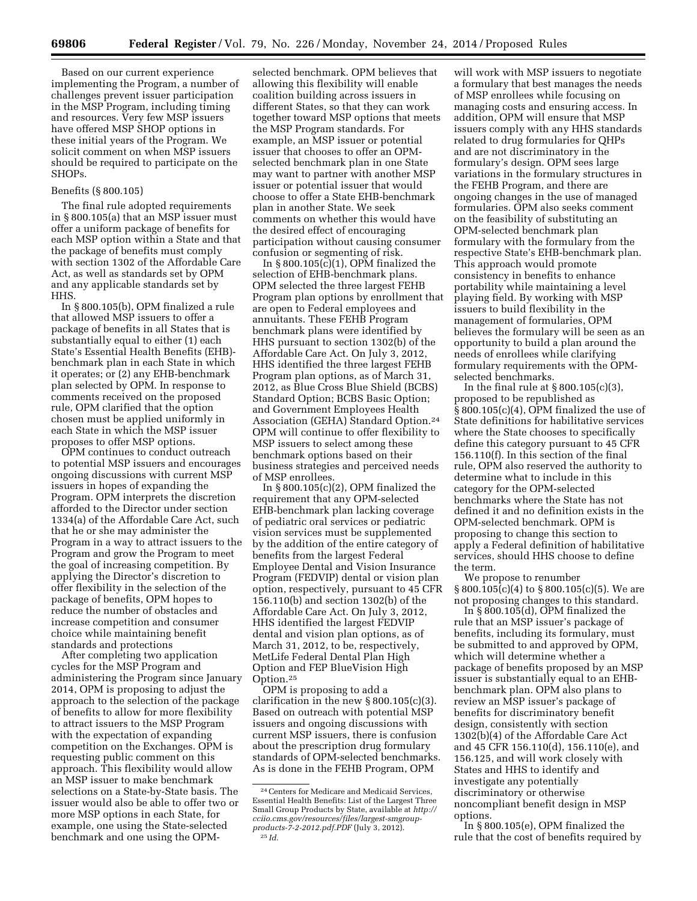Based on our current experience implementing the Program, a number of challenges prevent issuer participation in the MSP Program, including timing and resources. Very few MSP issuers have offered MSP SHOP options in these initial years of the Program. We solicit comment on when MSP issuers should be required to participate on the SHOPs.

#### Benefits (§ 800.105)

The final rule adopted requirements in § 800.105(a) that an MSP issuer must offer a uniform package of benefits for each MSP option within a State and that the package of benefits must comply with section 1302 of the Affordable Care Act, as well as standards set by OPM and any applicable standards set by HHS.

In § 800.105(b), OPM finalized a rule that allowed MSP issuers to offer a package of benefits in all States that is substantially equal to either (1) each State's Essential Health Benefits (EHB) benchmark plan in each State in which it operates; or (2) any EHB-benchmark plan selected by OPM. In response to comments received on the proposed rule, OPM clarified that the option chosen must be applied uniformly in each State in which the MSP issuer proposes to offer MSP options.

OPM continues to conduct outreach to potential MSP issuers and encourages ongoing discussions with current MSP issuers in hopes of expanding the Program. OPM interprets the discretion afforded to the Director under section 1334(a) of the Affordable Care Act, such that he or she may administer the Program in a way to attract issuers to the Program and grow the Program to meet the goal of increasing competition. By applying the Director's discretion to offer flexibility in the selection of the package of benefits, OPM hopes to reduce the number of obstacles and increase competition and consumer choice while maintaining benefit standards and protections

After completing two application cycles for the MSP Program and administering the Program since January 2014, OPM is proposing to adjust the approach to the selection of the package of benefits to allow for more flexibility to attract issuers to the MSP Program with the expectation of expanding competition on the Exchanges. OPM is requesting public comment on this approach. This flexibility would allow an MSP issuer to make benchmark selections on a State-by-State basis. The issuer would also be able to offer two or more MSP options in each State, for example, one using the State-selected benchmark and one using the OPM-

selected benchmark. OPM believes that allowing this flexibility will enable coalition building across issuers in different States, so that they can work together toward MSP options that meets the MSP Program standards. For example, an MSP issuer or potential issuer that chooses to offer an OPMselected benchmark plan in one State may want to partner with another MSP issuer or potential issuer that would choose to offer a State EHB-benchmark plan in another State. We seek comments on whether this would have the desired effect of encouraging participation without causing consumer confusion or segmenting of risk.

In  $\S 800.105(c)(1)$ , OPM finalized the selection of EHB-benchmark plans. OPM selected the three largest FEHB Program plan options by enrollment that are open to Federal employees and annuitants. These FEHB Program benchmark plans were identified by HHS pursuant to section 1302(b) of the Affordable Care Act. On July 3, 2012, HHS identified the three largest FEHB Program plan options, as of March 31, 2012, as Blue Cross Blue Shield (BCBS) Standard Option; BCBS Basic Option; and Government Employees Health Association (GEHA) Standard Option.24 OPM will continue to offer flexibility to MSP issuers to select among these benchmark options based on their business strategies and perceived needs of MSP enrollees.

In  $\S 800.105(c)(2)$ , OPM finalized the requirement that any OPM-selected EHB-benchmark plan lacking coverage of pediatric oral services or pediatric vision services must be supplemented by the addition of the entire category of benefits from the largest Federal Employee Dental and Vision Insurance Program (FEDVIP) dental or vision plan option, respectively, pursuant to 45 CFR 156.110(b) and section 1302(b) of the Affordable Care Act. On July 3, 2012, HHS identified the largest FEDVIP dental and vision plan options, as of March 31, 2012, to be, respectively, MetLife Federal Dental Plan High Option and FEP BlueVision High Option.25

OPM is proposing to add a clarification in the new § 800.105(c)(3). Based on outreach with potential MSP issuers and ongoing discussions with current MSP issuers, there is confusion about the prescription drug formulary standards of OPM-selected benchmarks. As is done in the FEHB Program, OPM

will work with MSP issuers to negotiate a formulary that best manages the needs of MSP enrollees while focusing on managing costs and ensuring access. In addition, OPM will ensure that MSP issuers comply with any HHS standards related to drug formularies for QHPs and are not discriminatory in the formulary's design. OPM sees large variations in the formulary structures in the FEHB Program, and there are ongoing changes in the use of managed formularies. OPM also seeks comment on the feasibility of substituting an OPM-selected benchmark plan formulary with the formulary from the respective State's EHB-benchmark plan. This approach would promote consistency in benefits to enhance portability while maintaining a level playing field. By working with MSP issuers to build flexibility in the management of formularies, OPM believes the formulary will be seen as an opportunity to build a plan around the needs of enrollees while clarifying formulary requirements with the OPMselected benchmarks.

In the final rule at  $\S 800.105(c)(3)$ , proposed to be republished as § 800.105(c)(4), OPM finalized the use of State definitions for habilitative services where the State chooses to specifically define this category pursuant to 45 CFR 156.110(f). In this section of the final rule, OPM also reserved the authority to determine what to include in this category for the OPM-selected benchmarks where the State has not defined it and no definition exists in the OPM-selected benchmark. OPM is proposing to change this section to apply a Federal definition of habilitative services, should HHS choose to define the term.

We propose to renumber § 800.105(c)(4) to § 800.105(c)(5). We are not proposing changes to this standard.

In  $\S$  800.105(d), OPM finalized the rule that an MSP issuer's package of benefits, including its formulary, must be submitted to and approved by OPM, which will determine whether a package of benefits proposed by an MSP issuer is substantially equal to an EHBbenchmark plan. OPM also plans to review an MSP issuer's package of benefits for discriminatory benefit design, consistently with section 1302(b)(4) of the Affordable Care Act and 45 CFR 156.110(d), 156.110(e), and 156.125, and will work closely with States and HHS to identify and investigate any potentially discriminatory or otherwise noncompliant benefit design in MSP options.

In § 800.105(e), OPM finalized the rule that the cost of benefits required by

<sup>24</sup>Centers for Medicare and Medicaid Services, Essential Health Benefits: List of the Largest Three Small Group Products by State, available at *[http://](http://cciio.cms.gov/resources/files/largest-smgroup-products-7-2-2012.pdf.PDF)  [cciio.cms.gov/resources/files/largest-smgroup](http://cciio.cms.gov/resources/files/largest-smgroup-products-7-2-2012.pdf.PDF)[products-7-2-2012.pdf.PDF](http://cciio.cms.gov/resources/files/largest-smgroup-products-7-2-2012.pdf.PDF)* (July 3, 2012). 25 *Id.*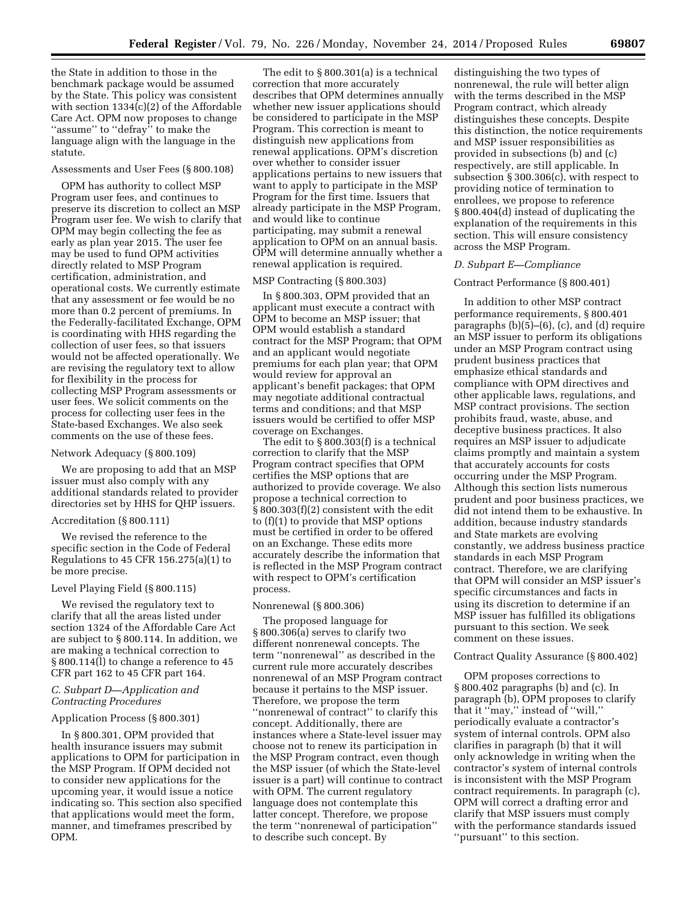the State in addition to those in the benchmark package would be assumed by the State. This policy was consistent with section 1334(c)(2) of the Affordable Care Act. OPM now proposes to change "assume" to "defray" to make the language align with the language in the statute.

#### Assessments and User Fees (§ 800.108)

OPM has authority to collect MSP Program user fees, and continues to preserve its discretion to collect an MSP Program user fee. We wish to clarify that OPM may begin collecting the fee as early as plan year 2015. The user fee may be used to fund OPM activities directly related to MSP Program certification, administration, and operational costs. We currently estimate that any assessment or fee would be no more than 0.2 percent of premiums. In the Federally-facilitated Exchange, OPM is coordinating with HHS regarding the collection of user fees, so that issuers would not be affected operationally. We are revising the regulatory text to allow for flexibility in the process for collecting MSP Program assessments or user fees. We solicit comments on the process for collecting user fees in the State-based Exchanges. We also seek comments on the use of these fees.

#### Network Adequacy (§ 800.109)

We are proposing to add that an MSP issuer must also comply with any additional standards related to provider directories set by HHS for QHP issuers.

#### Accreditation (§ 800.111)

We revised the reference to the specific section in the Code of Federal Regulations to 45 CFR 156.275(a)(1) to be more precise.

#### Level Playing Field (§ 800.115)

We revised the regulatory text to clarify that all the areas listed under section 1324 of the Affordable Care Act are subject to § 800.114. In addition, we are making a technical correction to § 800.114(l) to change a reference to 45 CFR part 162 to 45 CFR part 164.

## *C. Subpart D—Application and Contracting Procedures*

#### Application Process (§ 800.301)

In § 800.301, OPM provided that health insurance issuers may submit applications to OPM for participation in the MSP Program. If OPM decided not to consider new applications for the upcoming year, it would issue a notice indicating so. This section also specified that applications would meet the form, manner, and timeframes prescribed by OPM.

The edit to § 800.301(a) is a technical correction that more accurately describes that OPM determines annually whether new issuer applications should be considered to participate in the MSP Program. This correction is meant to distinguish new applications from renewal applications. OPM's discretion over whether to consider issuer applications pertains to new issuers that want to apply to participate in the MSP Program for the first time. Issuers that already participate in the MSP Program, and would like to continue participating, may submit a renewal application to OPM on an annual basis. OPM will determine annually whether a renewal application is required.

## MSP Contracting (§ 800.303)

In § 800.303, OPM provided that an applicant must execute a contract with OPM to become an MSP issuer; that OPM would establish a standard contract for the MSP Program; that OPM and an applicant would negotiate premiums for each plan year; that OPM would review for approval an applicant's benefit packages; that OPM may negotiate additional contractual terms and conditions; and that MSP issuers would be certified to offer MSP coverage on Exchanges.

The edit to § 800.303(f) is a technical correction to clarify that the MSP Program contract specifies that OPM certifies the MSP options that are authorized to provide coverage. We also propose a technical correction to § 800.303(f)(2) consistent with the edit to (f)(1) to provide that MSP options must be certified in order to be offered on an Exchange. These edits more accurately describe the information that is reflected in the MSP Program contract with respect to OPM's certification process.

#### Nonrenewal (§ 800.306)

The proposed language for § 800.306(a) serves to clarify two different nonrenewal concepts. The term ''nonrenewal'' as described in the current rule more accurately describes nonrenewal of an MSP Program contract because it pertains to the MSP issuer. Therefore, we propose the term ''nonrenewal of contract'' to clarify this concept. Additionally, there are instances where a State-level issuer may choose not to renew its participation in the MSP Program contract, even though the MSP issuer (of which the State-level issuer is a part) will continue to contract with OPM. The current regulatory language does not contemplate this latter concept. Therefore, we propose the term ''nonrenewal of participation'' to describe such concept. By

distinguishing the two types of nonrenewal, the rule will better align with the terms described in the MSP Program contract, which already distinguishes these concepts. Despite this distinction, the notice requirements and MSP issuer responsibilities as provided in subsections (b) and (c) respectively, are still applicable. In subsection § 300.306(c), with respect to providing notice of termination to enrollees, we propose to reference § 800.404(d) instead of duplicating the explanation of the requirements in this section. This will ensure consistency across the MSP Program.

#### *D. Subpart E—Compliance*

#### Contract Performance (§ 800.401)

In addition to other MSP contract performance requirements, § 800.401 paragraphs (b)(5)–(6), (c), and (d) require an MSP issuer to perform its obligations under an MSP Program contract using prudent business practices that emphasize ethical standards and compliance with OPM directives and other applicable laws, regulations, and MSP contract provisions. The section prohibits fraud, waste, abuse, and deceptive business practices. It also requires an MSP issuer to adjudicate claims promptly and maintain a system that accurately accounts for costs occurring under the MSP Program. Although this section lists numerous prudent and poor business practices, we did not intend them to be exhaustive. In addition, because industry standards and State markets are evolving constantly, we address business practice standards in each MSP Program contract. Therefore, we are clarifying that OPM will consider an MSP issuer's specific circumstances and facts in using its discretion to determine if an MSP issuer has fulfilled its obligations pursuant to this section. We seek comment on these issues.

### Contract Quality Assurance (§ 800.402)

OPM proposes corrections to § 800.402 paragraphs (b) and (c). In paragraph (b), OPM proposes to clarify that it ''may,'' instead of ''will,'' periodically evaluate a contractor's system of internal controls. OPM also clarifies in paragraph (b) that it will only acknowledge in writing when the contractor's system of internal controls is inconsistent with the MSP Program contract requirements. In paragraph (c), OPM will correct a drafting error and clarify that MSP issuers must comply with the performance standards issued ''pursuant'' to this section.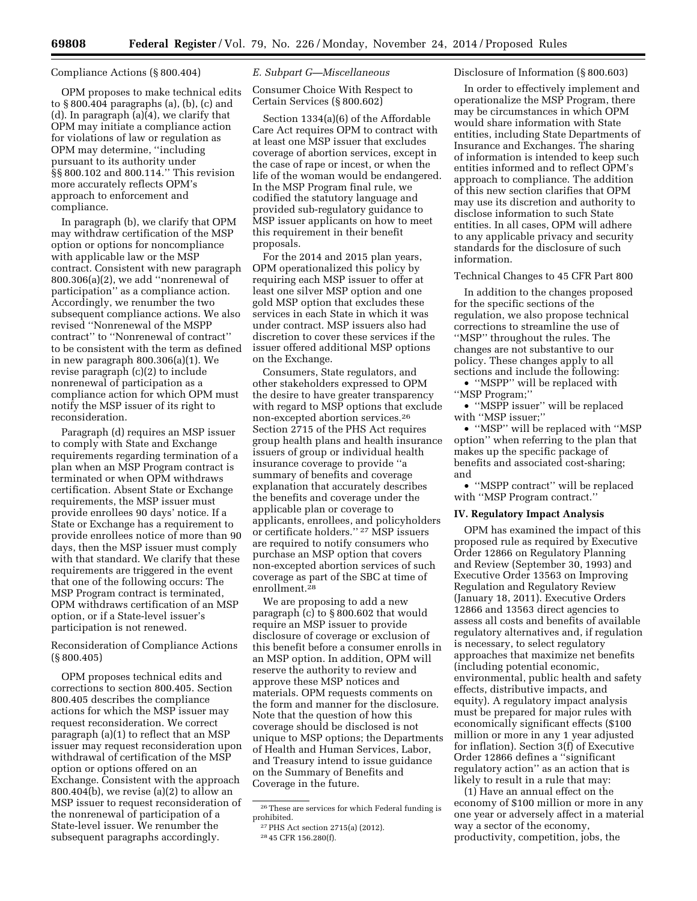### Compliance Actions (§ 800.404)

OPM proposes to make technical edits to § 800.404 paragraphs (a), (b), (c) and (d). In paragraph (a)(4), we clarify that OPM may initiate a compliance action for violations of law or regulation as OPM may determine, ''including pursuant to its authority under §§ 800.102 and 800.114.'' This revision more accurately reflects OPM's approach to enforcement and compliance.

In paragraph (b), we clarify that OPM may withdraw certification of the MSP option or options for noncompliance with applicable law or the MSP contract. Consistent with new paragraph  $800.306(a)(2)$ , we add "nonrenewal of participation'' as a compliance action. Accordingly, we renumber the two subsequent compliance actions. We also revised ''Nonrenewal of the MSPP contract'' to ''Nonrenewal of contract'' to be consistent with the term as defined in new paragraph 800.306(a)(1). We revise paragraph (c)(2) to include nonrenewal of participation as a compliance action for which OPM must notify the MSP issuer of its right to reconsideration.

Paragraph (d) requires an MSP issuer to comply with State and Exchange requirements regarding termination of a plan when an MSP Program contract is terminated or when OPM withdraws certification. Absent State or Exchange requirements, the MSP issuer must provide enrollees 90 days' notice. If a State or Exchange has a requirement to provide enrollees notice of more than 90 days, then the MSP issuer must comply with that standard. We clarify that these requirements are triggered in the event that one of the following occurs: The MSP Program contract is terminated, OPM withdraws certification of an MSP option, or if a State-level issuer's participation is not renewed.

Reconsideration of Compliance Actions (§ 800.405)

OPM proposes technical edits and corrections to section 800.405. Section 800.405 describes the compliance actions for which the MSP issuer may request reconsideration. We correct paragraph (a)(1) to reflect that an MSP issuer may request reconsideration upon withdrawal of certification of the MSP option or options offered on an Exchange. Consistent with the approach  $800.404(b)$ , we revise  $(a)(2)$  to allow an MSP issuer to request reconsideration of the nonrenewal of participation of a State-level issuer. We renumber the subsequent paragraphs accordingly.

### *E. Subpart G—Miscellaneous*

Consumer Choice With Respect to Certain Services (§ 800.602)

Section 1334(a)(6) of the Affordable Care Act requires OPM to contract with at least one MSP issuer that excludes coverage of abortion services, except in the case of rape or incest, or when the life of the woman would be endangered. In the MSP Program final rule, we codified the statutory language and provided sub-regulatory guidance to MSP issuer applicants on how to meet this requirement in their benefit proposals.

For the 2014 and 2015 plan years, OPM operationalized this policy by requiring each MSP issuer to offer at least one silver MSP option and one gold MSP option that excludes these services in each State in which it was under contract. MSP issuers also had discretion to cover these services if the issuer offered additional MSP options on the Exchange.

Consumers, State regulators, and other stakeholders expressed to OPM the desire to have greater transparency with regard to MSP options that exclude non-excepted abortion services.26 Section 2715 of the PHS Act requires group health plans and health insurance issuers of group or individual health insurance coverage to provide ''a summary of benefits and coverage explanation that accurately describes the benefits and coverage under the applicable plan or coverage to applicants, enrollees, and policyholders or certificate holders.'' 27 MSP issuers are required to notify consumers who purchase an MSP option that covers non-excepted abortion services of such coverage as part of the SBC at time of enrollment.28

We are proposing to add a new paragraph (c) to § 800.602 that would require an MSP issuer to provide disclosure of coverage or exclusion of this benefit before a consumer enrolls in an MSP option. In addition, OPM will reserve the authority to review and approve these MSP notices and materials. OPM requests comments on the form and manner for the disclosure. Note that the question of how this coverage should be disclosed is not unique to MSP options; the Departments of Health and Human Services, Labor, and Treasury intend to issue guidance on the Summary of Benefits and Coverage in the future.

### Disclosure of Information (§ 800.603)

In order to effectively implement and operationalize the MSP Program, there may be circumstances in which OPM would share information with State entities, including State Departments of Insurance and Exchanges. The sharing of information is intended to keep such entities informed and to reflect OPM's approach to compliance. The addition of this new section clarifies that OPM may use its discretion and authority to disclose information to such State entities. In all cases, OPM will adhere to any applicable privacy and security standards for the disclosure of such information.

### Technical Changes to 45 CFR Part 800

In addition to the changes proposed for the specific sections of the regulation, we also propose technical corrections to streamline the use of ''MSP'' throughout the rules. The changes are not substantive to our policy. These changes apply to all sections and include the following:

• "MSPP" will be replaced with ''MSP Program;''

• ''MSPP issuer'' will be replaced with ''MSP issuer;''

• "MSP" will be replaced with "MSP option'' when referring to the plan that makes up the specific package of benefits and associated cost-sharing; and

• ''MSPP contract'' will be replaced with "MSP Program contract."

#### **IV. Regulatory Impact Analysis**

OPM has examined the impact of this proposed rule as required by Executive Order 12866 on Regulatory Planning and Review (September 30, 1993) and Executive Order 13563 on Improving Regulation and Regulatory Review (January 18, 2011). Executive Orders 12866 and 13563 direct agencies to assess all costs and benefits of available regulatory alternatives and, if regulation is necessary, to select regulatory approaches that maximize net benefits (including potential economic, environmental, public health and safety effects, distributive impacts, and equity). A regulatory impact analysis must be prepared for major rules with economically significant effects (\$100 million or more in any 1 year adjusted for inflation). Section 3(f) of Executive Order 12866 defines a ''significant regulatory action'' as an action that is likely to result in a rule that may:

(1) Have an annual effect on the economy of \$100 million or more in any one year or adversely affect in a material way a sector of the economy, productivity, competition, jobs, the

<sup>26</sup>These are services for which Federal funding is prohibited.

<sup>27</sup>PHS Act section 2715(a) (2012). 28 45 CFR 156.280(f).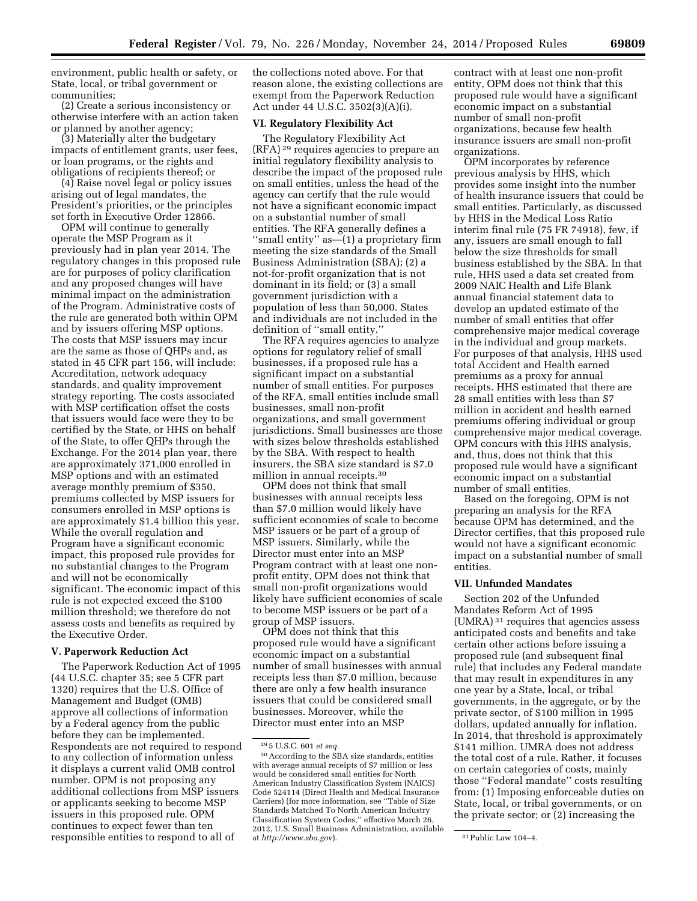environment, public health or safety, or State, local, or tribal government or communities;

(2) Create a serious inconsistency or otherwise interfere with an action taken or planned by another agency;

(3) Materially alter the budgetary impacts of entitlement grants, user fees, or loan programs, or the rights and obligations of recipients thereof; or

(4) Raise novel legal or policy issues arising out of legal mandates, the President's priorities, or the principles set forth in Executive Order 12866.

OPM will continue to generally operate the MSP Program as it previously had in plan year 2014. The regulatory changes in this proposed rule are for purposes of policy clarification and any proposed changes will have minimal impact on the administration of the Program. Administrative costs of the rule are generated both within OPM and by issuers offering MSP options. The costs that MSP issuers may incur are the same as those of QHPs and, as stated in 45 CFR part 156, will include: Accreditation, network adequacy standards, and quality improvement strategy reporting. The costs associated with MSP certification offset the costs that issuers would face were they to be certified by the State, or HHS on behalf of the State, to offer QHPs through the Exchange. For the 2014 plan year, there are approximately 371,000 enrolled in MSP options and with an estimated average monthly premium of \$350, premiums collected by MSP issuers for consumers enrolled in MSP options is are approximately \$1.4 billion this year. While the overall regulation and Program have a significant economic impact, this proposed rule provides for no substantial changes to the Program and will not be economically significant. The economic impact of this rule is not expected exceed the \$100 million threshold; we therefore do not assess costs and benefits as required by the Executive Order.

## **V. Paperwork Reduction Act**

The Paperwork Reduction Act of 1995 (44 U.S.C. chapter 35; see 5 CFR part 1320) requires that the U.S. Office of Management and Budget (OMB) approve all collections of information by a Federal agency from the public before they can be implemented. Respondents are not required to respond to any collection of information unless it displays a current valid OMB control number. OPM is not proposing any additional collections from MSP issuers or applicants seeking to become MSP issuers in this proposed rule. OPM continues to expect fewer than ten responsible entities to respond to all of

the collections noted above. For that reason alone, the existing collections are exempt from the Paperwork Reduction Act under 44 U.S.C. 3502(3)(A)(i).

## **VI. Regulatory Flexibility Act**

The Regulatory Flexibility Act (RFA) 29 requires agencies to prepare an initial regulatory flexibility analysis to describe the impact of the proposed rule on small entities, unless the head of the agency can certify that the rule would not have a significant economic impact on a substantial number of small entities. The RFA generally defines a ''small entity'' as—(1) a proprietary firm meeting the size standards of the Small Business Administration (SBA); (2) a not-for-profit organization that is not dominant in its field; or (3) a small government jurisdiction with a population of less than 50,000. States and individuals are not included in the definition of ''small entity.''

The RFA requires agencies to analyze options for regulatory relief of small businesses, if a proposed rule has a significant impact on a substantial number of small entities. For purposes of the RFA, small entities include small businesses, small non-profit organizations, and small government jurisdictions. Small businesses are those with sizes below thresholds established by the SBA. With respect to health insurers, the SBA size standard is \$7.0 million in annual receipts.30

OPM does not think that small businesses with annual receipts less than \$7.0 million would likely have sufficient economies of scale to become MSP issuers or be part of a group of MSP issuers. Similarly, while the Director must enter into an MSP Program contract with at least one nonprofit entity, OPM does not think that small non-profit organizations would likely have sufficient economies of scale to become MSP issuers or be part of a group of MSP issuers.

OPM does not think that this proposed rule would have a significant economic impact on a substantial number of small businesses with annual receipts less than \$7.0 million, because there are only a few health insurance issuers that could be considered small businesses. Moreover, while the Director must enter into an MSP

contract with at least one non-profit entity, OPM does not think that this proposed rule would have a significant economic impact on a substantial number of small non-profit organizations, because few health insurance issuers are small non-profit organizations.

OPM incorporates by reference previous analysis by HHS, which provides some insight into the number of health insurance issuers that could be small entities. Particularly, as discussed by HHS in the Medical Loss Ratio interim final rule (75 FR 74918), few, if any, issuers are small enough to fall below the size thresholds for small business established by the SBA. In that rule, HHS used a data set created from 2009 NAIC Health and Life Blank annual financial statement data to develop an updated estimate of the number of small entities that offer comprehensive major medical coverage in the individual and group markets. For purposes of that analysis, HHS used total Accident and Health earned premiums as a proxy for annual receipts. HHS estimated that there are 28 small entities with less than \$7 million in accident and health earned premiums offering individual or group comprehensive major medical coverage. OPM concurs with this HHS analysis, and, thus, does not think that this proposed rule would have a significant economic impact on a substantial number of small entities.

Based on the foregoing, OPM is not preparing an analysis for the RFA because OPM has determined, and the Director certifies, that this proposed rule would not have a significant economic impact on a substantial number of small entities.

## **VII. Unfunded Mandates**

Section 202 of the Unfunded Mandates Reform Act of 1995 (UMRA) 31 requires that agencies assess anticipated costs and benefits and take certain other actions before issuing a proposed rule (and subsequent final rule) that includes any Federal mandate that may result in expenditures in any one year by a State, local, or tribal governments, in the aggregate, or by the private sector, of \$100 million in 1995 dollars, updated annually for inflation. In 2014, that threshold is approximately \$141 million. UMRA does not address the total cost of a rule. Rather, it focuses on certain categories of costs, mainly those ''Federal mandate'' costs resulting from: (1) Imposing enforceable duties on State, local, or tribal governments, or on the private sector; or (2) increasing the

<sup>29</sup> 5 U.S.C. 601 *et seq.* 

<sup>30</sup>According to the SBA size standards, entities with average annual receipts of \$7 million or less would be considered small entities for North American Industry Classification System (NAICS) Code 524114 (Direct Health and Medical Insurance Carriers) (for more information, see ''Table of Size Standards Matched To North American Industry Classification System Codes,'' effective March 26, 2012, U.S. Small Business Administration, available at *<http://www.sba.gov>*). 31Public Law 104–4.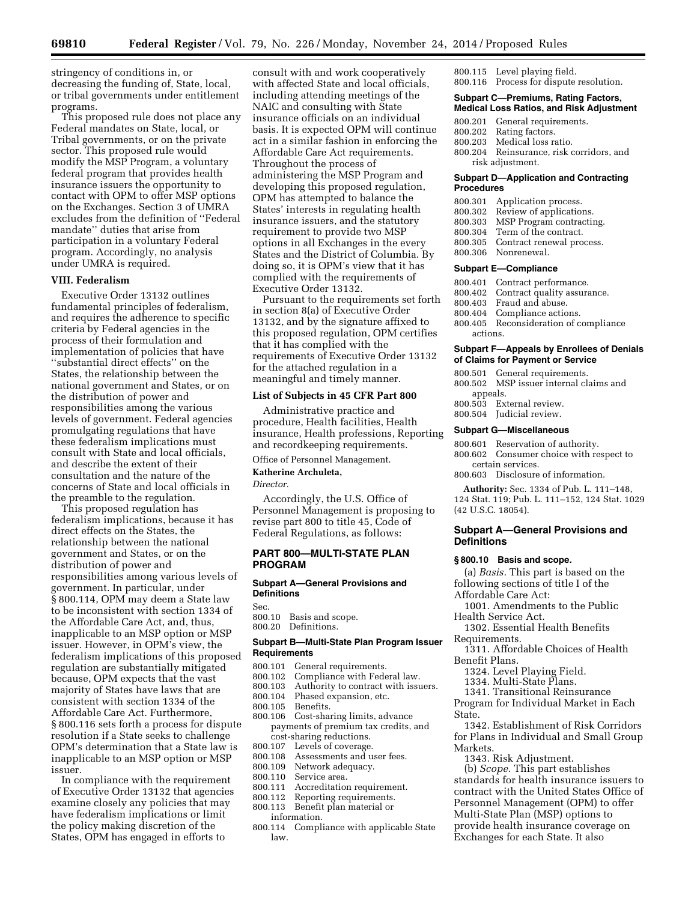stringency of conditions in, or decreasing the funding of, State, local, or tribal governments under entitlement programs.

This proposed rule does not place any Federal mandates on State, local, or Tribal governments, or on the private sector. This proposed rule would modify the MSP Program, a voluntary federal program that provides health insurance issuers the opportunity to contact with OPM to offer MSP options on the Exchanges. Section 3 of UMRA excludes from the definition of ''Federal mandate'' duties that arise from participation in a voluntary Federal program. Accordingly, no analysis under UMRA is required.

### **VIII. Federalism**

Executive Order 13132 outlines fundamental principles of federalism, and requires the adherence to specific criteria by Federal agencies in the process of their formulation and implementation of policies that have ''substantial direct effects'' on the States, the relationship between the national government and States, or on the distribution of power and responsibilities among the various levels of government. Federal agencies promulgating regulations that have these federalism implications must consult with State and local officials, and describe the extent of their consultation and the nature of the concerns of State and local officials in the preamble to the regulation.

This proposed regulation has federalism implications, because it has direct effects on the States, the relationship between the national government and States, or on the distribution of power and responsibilities among various levels of government. In particular, under § 800.114, OPM may deem a State law to be inconsistent with section 1334 of the Affordable Care Act, and, thus, inapplicable to an MSP option or MSP issuer. However, in OPM's view, the federalism implications of this proposed regulation are substantially mitigated because, OPM expects that the vast majority of States have laws that are consistent with section 1334 of the Affordable Care Act. Furthermore, § 800.116 sets forth a process for dispute resolution if a State seeks to challenge OPM's determination that a State law is inapplicable to an MSP option or MSP issuer.

In compliance with the requirement of Executive Order 13132 that agencies examine closely any policies that may have federalism implications or limit the policy making discretion of the States, OPM has engaged in efforts to

consult with and work cooperatively with affected State and local officials, including attending meetings of the NAIC and consulting with State insurance officials on an individual basis. It is expected OPM will continue act in a similar fashion in enforcing the Affordable Care Act requirements. Throughout the process of administering the MSP Program and developing this proposed regulation, OPM has attempted to balance the States' interests in regulating health insurance issuers, and the statutory requirement to provide two MSP options in all Exchanges in the every States and the District of Columbia. By doing so, it is OPM's view that it has complied with the requirements of Executive Order 13132.

Pursuant to the requirements set forth in section 8(a) of Executive Order 13132, and by the signature affixed to this proposed regulation, OPM certifies that it has complied with the requirements of Executive Order 13132 for the attached regulation in a meaningful and timely manner.

#### **List of Subjects in 45 CFR Part 800**

Administrative practice and procedure, Health facilities, Health insurance, Health professions, Reporting and recordkeeping requirements.

Office of Personnel Management.

### **Katherine Archuleta,**

*Director.* 

Accordingly, the U.S. Office of Personnel Management is proposing to revise part 800 to title 45, Code of Federal Regulations, as follows:

### **PART 800—MULTI-STATE PLAN PROGRAM**

#### **Subpart A—General Provisions and Definitions**

Sec.

- 800.10 Basis and scope.
- 800.20 Definitions.

### **Subpart B—Multi-State Plan Program Issuer Requirements**

- 800.101 General requirements.<br>800.102 Compliance with Fede
- Compliance with Federal law.
- 800.103 Authority to contract with issuers.
- 800.104 Phased expansion, etc.
- Benefits.
- 800.106 Cost-sharing limits, advance payments of premium tax credits, and cost-sharing reductions.
- 800.107 Levels of coverage.<br>800.108 Assessments and u
- 800.108 Assessments and user fees.<br>800.109 Network adequacy.
- Network adequacy.
- 800.110 Service area.
- Accreditation requirement.
- 800.112 Reporting requirements.
- 800.113 Benefit plan material or
	- information.
- 800.114 Compliance with applicable State law.

800.115 Level playing field. 800.116 Process for dispute resolution.

- **Subpart C—Premiums, Rating Factors, Medical Loss Ratios, and Risk Adjustment**
- 
- 800.201 General requirements.<br>800.202 Rating factors.
- 800.202 Rating factors.<br>800.203 Medical loss r Medical loss ratio.
- 800.204 Reinsurance, risk corridors, and risk adjustment.

#### **Subpart D—Application and Contracting Procedures**

- 800.301 Application process.
- 800.302 Review of applications.
- 800.303 MSP Program contracting.
- 800.304 Term of the contract.<br>800.305 Contract renewal pro-
- Contract renewal process.
- 800.306 Nonrenewal.

#### **Subpart E—Compliance**

- 800.401 Contract performance.
- 800.402 Contract quality assurance.
- 800.403 Fraud and abuse.
- 800.404 Compliance actions.<br>800.405 Reconsideration of c
- Reconsideration of compliance actions.

### **Subpart F—Appeals by Enrollees of Denials of Claims for Payment or Service**

- 800.501 General requirements. 800.502 MSP issuer internal claims and appeals.<br>800.503 Ex External review.
- 800.504 Judicial review.

#### **Subpart G—Miscellaneous**

- 800.601 Reservation of authority. 800.602 Consumer choice with respect to certain services.
- 800.603 Disclosure of information.

**Authority:** Sec. 1334 of Pub. L. 111–148, 124 Stat. 119; Pub. L. 111–152, 124 Stat. 1029 (42 U.S.C. 18054).

### **Subpart A—General Provisions and Definitions**

#### **§ 800.10 Basis and scope.**

(a) *Basis.* This part is based on the following sections of title I of the

- Affordable Care Act: 1001. Amendments to the Public Health Service Act.
- 1302. Essential Health Benefits
- Requirements.
- 1311. Affordable Choices of Health Benefit Plans.
	- 1324. Level Playing Field.
	- 1334. Multi-State Plans.
	- 1341. Transitional Reinsurance

Program for Individual Market in Each State.

1342. Establishment of Risk Corridors for Plans in Individual and Small Group Markets.

1343. Risk Adjustment.

(b) *Scope.* This part establishes standards for health insurance issuers to contract with the United States Office of Personnel Management (OPM) to offer Multi-State Plan (MSP) options to provide health insurance coverage on Exchanges for each State. It also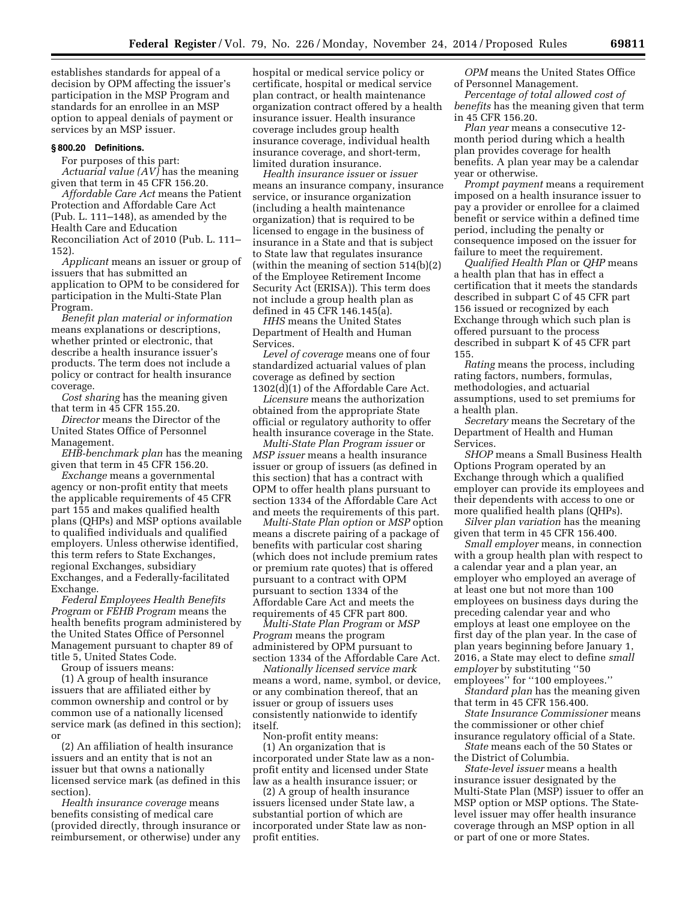establishes standards for appeal of a decision by OPM affecting the issuer's participation in the MSP Program and standards for an enrollee in an MSP option to appeal denials of payment or services by an MSP issuer.

## **§ 800.20 Definitions.**

For purposes of this part:

*Actuarial value (AV)* has the meaning given that term in 45 CFR 156.20.

*Affordable Care Act* means the Patient Protection and Affordable Care Act (Pub. L. 111–148), as amended by the Health Care and Education Reconciliation Act of 2010 (Pub. L. 111– 152).

*Applicant* means an issuer or group of issuers that has submitted an application to OPM to be considered for participation in the Multi-State Plan Program.

*Benefit plan material or information*  means explanations or descriptions, whether printed or electronic, that describe a health insurance issuer's products. The term does not include a policy or contract for health insurance coverage.

*Cost sharing* has the meaning given that term in 45 CFR 155.20.

*Director* means the Director of the United States Office of Personnel Management.

*EHB-benchmark plan* has the meaning given that term in 45 CFR 156.20.

*Exchange* means a governmental agency or non-profit entity that meets the applicable requirements of 45 CFR part 155 and makes qualified health plans (QHPs) and MSP options available to qualified individuals and qualified employers. Unless otherwise identified, this term refers to State Exchanges, regional Exchanges, subsidiary Exchanges, and a Federally-facilitated Exchange.

*Federal Employees Health Benefits Program* or *FEHB Program* means the health benefits program administered by the United States Office of Personnel Management pursuant to chapter 89 of title 5, United States Code.

Group of issuers means:

(1) A group of health insurance issuers that are affiliated either by common ownership and control or by common use of a nationally licensed service mark (as defined in this section); or

(2) An affiliation of health insurance issuers and an entity that is not an issuer but that owns a nationally licensed service mark (as defined in this section).

*Health insurance coverage* means benefits consisting of medical care (provided directly, through insurance or reimbursement, or otherwise) under any hospital or medical service policy or certificate, hospital or medical service plan contract, or health maintenance organization contract offered by a health insurance issuer. Health insurance coverage includes group health insurance coverage, individual health insurance coverage, and short-term, limited duration insurance.

*Health insurance issuer* or *issuer*  means an insurance company, insurance service, or insurance organization (including a health maintenance organization) that is required to be licensed to engage in the business of insurance in a State and that is subject to State law that regulates insurance (within the meaning of section 514(b)(2) of the Employee Retirement Income Security Act (ERISA)). This term does not include a group health plan as defined in 45 CFR 146.145(a).

*HHS* means the United States Department of Health and Human Services.

*Level of coverage* means one of four standardized actuarial values of plan coverage as defined by section 1302(d)(1) of the Affordable Care Act.

*Licensure* means the authorization obtained from the appropriate State official or regulatory authority to offer health insurance coverage in the State.

*Multi-State Plan Program issuer* or *MSP issuer* means a health insurance issuer or group of issuers (as defined in this section) that has a contract with OPM to offer health plans pursuant to section 1334 of the Affordable Care Act and meets the requirements of this part.

*Multi-State Plan option* or *MSP* option means a discrete pairing of a package of benefits with particular cost sharing (which does not include premium rates or premium rate quotes) that is offered pursuant to a contract with OPM pursuant to section 1334 of the Affordable Care Act and meets the requirements of 45 CFR part 800.

*Multi-State Plan Program* or *MSP Program* means the program administered by OPM pursuant to section 1334 of the Affordable Care Act.

*Nationally licensed service mark*  means a word, name, symbol, or device, or any combination thereof, that an issuer or group of issuers uses consistently nationwide to identify itself.

Non-profit entity means: (1) An organization that is incorporated under State law as a nonprofit entity and licensed under State law as a health insurance issuer; or

(2) A group of health insurance issuers licensed under State law, a substantial portion of which are incorporated under State law as nonprofit entities.

*OPM* means the United States Office of Personnel Management.

*Percentage of total allowed cost of benefits* has the meaning given that term in 45 CFR 156.20.

*Plan year* means a consecutive 12 month period during which a health plan provides coverage for health benefits. A plan year may be a calendar year or otherwise.

*Prompt payment* means a requirement imposed on a health insurance issuer to pay a provider or enrollee for a claimed benefit or service within a defined time period, including the penalty or consequence imposed on the issuer for failure to meet the requirement.

*Qualified Health Plan* or *QHP* means a health plan that has in effect a certification that it meets the standards described in subpart C of 45 CFR part 156 issued or recognized by each Exchange through which such plan is offered pursuant to the process described in subpart K of 45 CFR part 155.

*Rating* means the process, including rating factors, numbers, formulas, methodologies, and actuarial assumptions, used to set premiums for a health plan.

*Secretary* means the Secretary of the Department of Health and Human Services.

*SHOP* means a Small Business Health Options Program operated by an Exchange through which a qualified employer can provide its employees and their dependents with access to one or more qualified health plans (QHPs).

*Silver plan variation* has the meaning given that term in 45 CFR 156.400.

*Small employer* means, in connection with a group health plan with respect to a calendar year and a plan year, an employer who employed an average of at least one but not more than 100 employees on business days during the preceding calendar year and who employs at least one employee on the first day of the plan year. In the case of plan years beginning before January 1, 2016, a State may elect to define *small employer* by substituting ''50 employees'' for ''100 employees.''

*Standard plan* has the meaning given that term in 45 CFR 156.400.

*State Insurance Commissioner* means the commissioner or other chief

insurance regulatory official of a State. *State* means each of the 50 States or the District of Columbia.

*State-level issuer* means a health insurance issuer designated by the Multi-State Plan (MSP) issuer to offer an MSP option or MSP options. The Statelevel issuer may offer health insurance coverage through an MSP option in all or part of one or more States.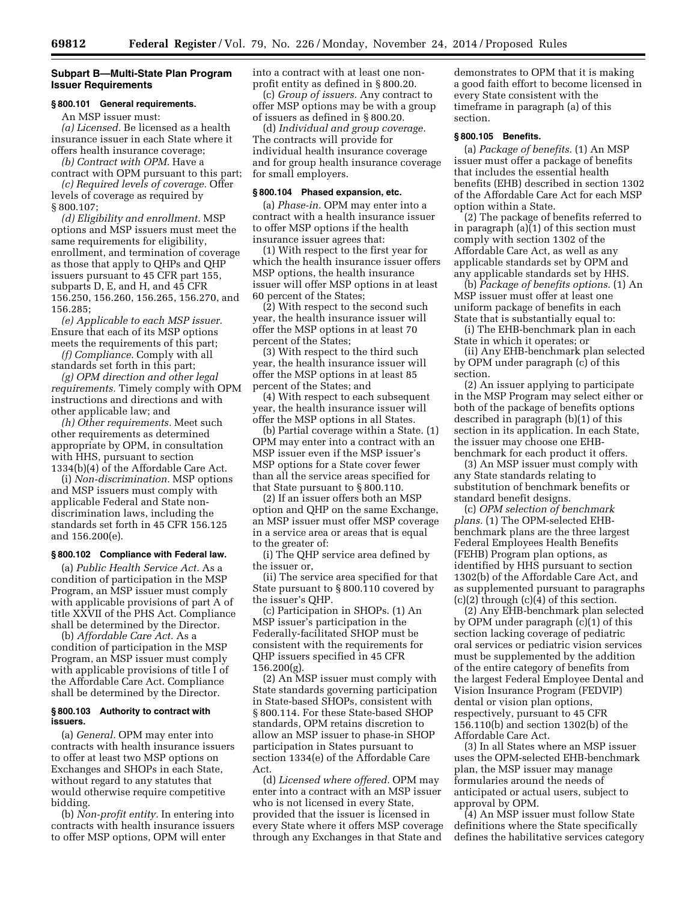### **Subpart B—Multi-State Plan Program Issuer Requirements**

# **§ 800.101 General requirements.**

An MSP issuer must:

*(a) Licensed.* Be licensed as a health insurance issuer in each State where it offers health insurance coverage;

*(b) Contract with OPM.* Have a contract with OPM pursuant to this part;

*(c) Required levels of coverage.* Offer levels of coverage as required by § 800.107;

*(d) Eligibility and enrollment.* MSP options and MSP issuers must meet the same requirements for eligibility, enrollment, and termination of coverage as those that apply to QHPs and QHP issuers pursuant to 45 CFR part 155, subparts D, E, and H, and 45 CFR 156.250, 156.260, 156.265, 156.270, and 156.285;

*(e) Applicable to each MSP issuer.*  Ensure that each of its MSP options meets the requirements of this part;

*(f) Compliance.* Comply with all standards set forth in this part;

*(g) OPM direction and other legal requirements.* Timely comply with OPM instructions and directions and with other applicable law; and

*(h) Other requirements.* Meet such other requirements as determined appropriate by OPM, in consultation with HHS, pursuant to section 1334(b)(4) of the Affordable Care Act.

(i) *Non-discrimination.* MSP options and MSP issuers must comply with applicable Federal and State nondiscrimination laws, including the standards set forth in 45 CFR 156.125 and 156.200(e).

## **§ 800.102 Compliance with Federal law.**

(a) *Public Health Service Act.* As a condition of participation in the MSP Program, an MSP issuer must comply with applicable provisions of part A of title XXVII of the PHS Act. Compliance shall be determined by the Director.

(b) *Affordable Care Act.* As a condition of participation in the MSP Program, an MSP issuer must comply with applicable provisions of title I of the Affordable Care Act. Compliance shall be determined by the Director.

#### **§ 800.103 Authority to contract with issuers.**

(a) *General.* OPM may enter into contracts with health insurance issuers to offer at least two MSP options on Exchanges and SHOPs in each State, without regard to any statutes that would otherwise require competitive bidding.

(b) *Non-profit entity.* In entering into contracts with health insurance issuers to offer MSP options, OPM will enter

into a contract with at least one nonprofit entity as defined in § 800.20.

(c) *Group of issuers.* Any contract to offer MSP options may be with a group of issuers as defined in § 800.20.

(d) *Individual and group coverage.*  The contracts will provide for individual health insurance coverage and for group health insurance coverage for small employers.

### **§ 800.104 Phased expansion, etc.**

(a) *Phase-in.* OPM may enter into a contract with a health insurance issuer to offer MSP options if the health insurance issuer agrees that:

(1) With respect to the first year for which the health insurance issuer offers MSP options, the health insurance issuer will offer MSP options in at least 60 percent of the States;

(2) With respect to the second such year, the health insurance issuer will offer the MSP options in at least 70 percent of the States;

(3) With respect to the third such year, the health insurance issuer will offer the MSP options in at least 85 percent of the States; and

(4) With respect to each subsequent year, the health insurance issuer will offer the MSP options in all States.

(b) Partial coverage within a State. (1) OPM may enter into a contract with an MSP issuer even if the MSP issuer's MSP options for a State cover fewer than all the service areas specified for that State pursuant to § 800.110.

(2) If an issuer offers both an MSP option and QHP on the same Exchange, an MSP issuer must offer MSP coverage in a service area or areas that is equal to the greater of:

(i) The QHP service area defined by the issuer or,

(ii) The service area specified for that State pursuant to § 800.110 covered by the issuer's QHP.

(c) Participation in SHOPs. (1) An MSP issuer's participation in the Federally-facilitated SHOP must be consistent with the requirements for QHP issuers specified in 45 CFR 156.200(g).

(2) An MSP issuer must comply with State standards governing participation in State-based SHOPs, consistent with § 800.114. For these State-based SHOP standards, OPM retains discretion to allow an MSP issuer to phase-in SHOP participation in States pursuant to section 1334(e) of the Affordable Care Act.

(d) *Licensed where offered.* OPM may enter into a contract with an MSP issuer who is not licensed in every State, provided that the issuer is licensed in every State where it offers MSP coverage through any Exchanges in that State and

demonstrates to OPM that it is making a good faith effort to become licensed in every State consistent with the timeframe in paragraph (a) of this section.

## **§ 800.105 Benefits.**

(a) *Package of benefits.* (1) An MSP issuer must offer a package of benefits that includes the essential health benefits (EHB) described in section 1302 of the Affordable Care Act for each MSP option within a State.

(2) The package of benefits referred to in paragraph (a)(1) of this section must comply with section 1302 of the Affordable Care Act, as well as any applicable standards set by OPM and any applicable standards set by HHS.

(b) *Package of benefits options.* (1) An MSP issuer must offer at least one uniform package of benefits in each State that is substantially equal to:

(i) The EHB-benchmark plan in each State in which it operates; or

(ii) Any EHB-benchmark plan selected by OPM under paragraph (c) of this section.

(2) An issuer applying to participate in the MSP Program may select either or both of the package of benefits options described in paragraph (b)(1) of this section in its application. In each State, the issuer may choose one EHBbenchmark for each product it offers.

(3) An MSP issuer must comply with any State standards relating to substitution of benchmark benefits or standard benefit designs.

(c) *OPM selection of benchmark plans.* (1) The OPM-selected EHBbenchmark plans are the three largest Federal Employees Health Benefits (FEHB) Program plan options, as identified by HHS pursuant to section 1302(b) of the Affordable Care Act, and as supplemented pursuant to paragraphs  $(c)(2)$  through  $(c)(4)$  of this section.

(2) Any EHB-benchmark plan selected by OPM under paragraph (c)(1) of this section lacking coverage of pediatric oral services or pediatric vision services must be supplemented by the addition of the entire category of benefits from the largest Federal Employee Dental and Vision Insurance Program (FEDVIP) dental or vision plan options, respectively, pursuant to 45 CFR 156.110(b) and section 1302(b) of the Affordable Care Act.

(3) In all States where an MSP issuer uses the OPM-selected EHB-benchmark plan, the MSP issuer may manage formularies around the needs of anticipated or actual users, subject to approval by OPM.

(4) An MSP issuer must follow State definitions where the State specifically defines the habilitative services category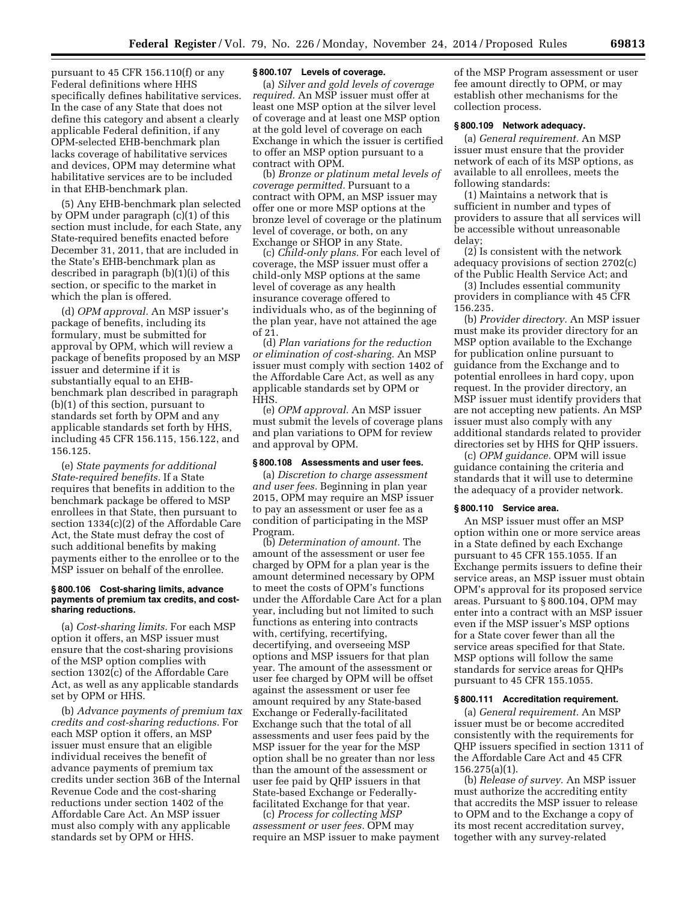pursuant to 45 CFR 156.110(f) or any Federal definitions where HHS specifically defines habilitative services. In the case of any State that does not define this category and absent a clearly applicable Federal definition, if any OPM-selected EHB-benchmark plan lacks coverage of habilitative services and devices, OPM may determine what habilitative services are to be included in that EHB-benchmark plan.

(5) Any EHB-benchmark plan selected by OPM under paragraph (c)(1) of this section must include, for each State, any State-required benefits enacted before December 31, 2011, that are included in the State's EHB-benchmark plan as described in paragraph (b)(1)(i) of this section, or specific to the market in which the plan is offered.

(d) *OPM approval.* An MSP issuer's package of benefits, including its formulary, must be submitted for approval by OPM, which will review a package of benefits proposed by an MSP issuer and determine if it is substantially equal to an EHBbenchmark plan described in paragraph (b)(1) of this section, pursuant to standards set forth by OPM and any applicable standards set forth by HHS, including 45 CFR 156.115, 156.122, and 156.125.

(e) *State payments for additional State-required benefits.* If a State requires that benefits in addition to the benchmark package be offered to MSP enrollees in that State, then pursuant to section 1334(c)(2) of the Affordable Care Act, the State must defray the cost of such additional benefits by making payments either to the enrollee or to the MSP issuer on behalf of the enrollee.

#### **§ 800.106 Cost-sharing limits, advance payments of premium tax credits, and costsharing reductions.**

(a) *Cost-sharing limits.* For each MSP option it offers, an MSP issuer must ensure that the cost-sharing provisions of the MSP option complies with section 1302(c) of the Affordable Care Act, as well as any applicable standards set by OPM or HHS.

(b) *Advance payments of premium tax credits and cost-sharing reductions.* For each MSP option it offers, an MSP issuer must ensure that an eligible individual receives the benefit of advance payments of premium tax credits under section 36B of the Internal Revenue Code and the cost-sharing reductions under section 1402 of the Affordable Care Act. An MSP issuer must also comply with any applicable standards set by OPM or HHS.

### **§ 800.107 Levels of coverage.**

(a) *Silver and gold levels of coverage required.* An MSP issuer must offer at least one MSP option at the silver level of coverage and at least one MSP option at the gold level of coverage on each Exchange in which the issuer is certified to offer an MSP option pursuant to a contract with OPM.

(b) *Bronze or platinum metal levels of coverage permitted.* Pursuant to a contract with OPM, an MSP issuer may offer one or more MSP options at the bronze level of coverage or the platinum level of coverage, or both, on any Exchange or SHOP in any State.

(c) *Child-only plans.* For each level of coverage, the MSP issuer must offer a child-only MSP options at the same level of coverage as any health insurance coverage offered to individuals who, as of the beginning of the plan year, have not attained the age of 21.

(d) *Plan variations for the reduction or elimination of cost-sharing.* An MSP issuer must comply with section 1402 of the Affordable Care Act, as well as any applicable standards set by OPM or HHS.

(e) *OPM approval.* An MSP issuer must submit the levels of coverage plans and plan variations to OPM for review and approval by OPM.

#### **§ 800.108 Assessments and user fees.**

(a) *Discretion to charge assessment and user fees.* Beginning in plan year 2015, OPM may require an MSP issuer to pay an assessment or user fee as a condition of participating in the MSP Program.

(b) *Determination of amount.* The amount of the assessment or user fee charged by OPM for a plan year is the amount determined necessary by OPM to meet the costs of OPM's functions under the Affordable Care Act for a plan year, including but not limited to such functions as entering into contracts with, certifying, recertifying, decertifying, and overseeing MSP options and MSP issuers for that plan year. The amount of the assessment or user fee charged by OPM will be offset against the assessment or user fee amount required by any State-based Exchange or Federally-facilitated Exchange such that the total of all assessments and user fees paid by the MSP issuer for the year for the MSP option shall be no greater than nor less than the amount of the assessment or user fee paid by QHP issuers in that State-based Exchange or Federallyfacilitated Exchange for that year.

(c) *Process for collecting MSP assessment or user fees.* OPM may require an MSP issuer to make payment

of the MSP Program assessment or user fee amount directly to OPM, or may establish other mechanisms for the collection process.

### **§ 800.109 Network adequacy.**

(a) *General requirement.* An MSP issuer must ensure that the provider network of each of its MSP options, as available to all enrollees, meets the following standards:

(1) Maintains a network that is sufficient in number and types of providers to assure that all services will be accessible without unreasonable delay;

(2) Is consistent with the network adequacy provisions of section 2702(c) of the Public Health Service Act; and

(3) Includes essential community providers in compliance with 45 CFR 156.235.

(b) *Provider directory.* An MSP issuer must make its provider directory for an MSP option available to the Exchange for publication online pursuant to guidance from the Exchange and to potential enrollees in hard copy, upon request. In the provider directory, an MSP issuer must identify providers that are not accepting new patients. An MSP issuer must also comply with any additional standards related to provider directories set by HHS for QHP issuers.

(c) *OPM guidance.* OPM will issue guidance containing the criteria and standards that it will use to determine the adequacy of a provider network.

### **§ 800.110 Service area.**

An MSP issuer must offer an MSP option within one or more service areas in a State defined by each Exchange pursuant to 45 CFR 155.1055. If an Exchange permits issuers to define their service areas, an MSP issuer must obtain OPM's approval for its proposed service areas. Pursuant to § 800.104, OPM may enter into a contract with an MSP issuer even if the MSP issuer's MSP options for a State cover fewer than all the service areas specified for that State. MSP options will follow the same standards for service areas for QHPs pursuant to 45 CFR 155.1055.

#### **§ 800.111 Accreditation requirement.**

(a) *General requirement.* An MSP issuer must be or become accredited consistently with the requirements for QHP issuers specified in section 1311 of the Affordable Care Act and 45 CFR 156.275(a)(1).

(b) *Release of survey.* An MSP issuer must authorize the accrediting entity that accredits the MSP issuer to release to OPM and to the Exchange a copy of its most recent accreditation survey, together with any survey-related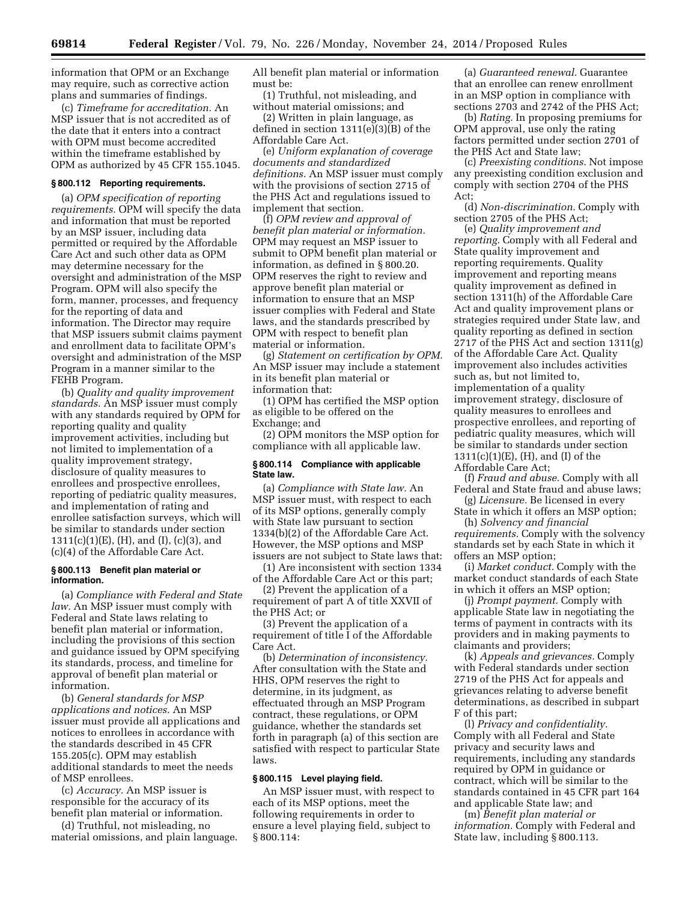information that OPM or an Exchange may require, such as corrective action plans and summaries of findings.

(c) *Timeframe for accreditation.* An MSP issuer that is not accredited as of the date that it enters into a contract with OPM must become accredited within the timeframe established by OPM as authorized by 45 CFR 155.1045.

#### **§ 800.112 Reporting requirements.**

(a) *OPM specification of reporting requirements.* OPM will specify the data and information that must be reported by an MSP issuer, including data permitted or required by the Affordable Care Act and such other data as OPM may determine necessary for the oversight and administration of the MSP Program. OPM will also specify the form, manner, processes, and frequency for the reporting of data and information. The Director may require that MSP issuers submit claims payment and enrollment data to facilitate OPM's oversight and administration of the MSP Program in a manner similar to the FEHB Program.

(b) *Quality and quality improvement standards.* An MSP issuer must comply with any standards required by OPM for reporting quality and quality improvement activities, including but not limited to implementation of a quality improvement strategy, disclosure of quality measures to enrollees and prospective enrollees, reporting of pediatric quality measures, and implementation of rating and enrollee satisfaction surveys, which will be similar to standards under section 1311(c)(1)(E), (H), and (I), (c)(3), and (c)(4) of the Affordable Care Act.

#### **§ 800.113 Benefit plan material or information.**

(a) *Compliance with Federal and State law.* An MSP issuer must comply with Federal and State laws relating to benefit plan material or information, including the provisions of this section and guidance issued by OPM specifying its standards, process, and timeline for approval of benefit plan material or information.

(b) *General standards for MSP applications and notices.* An MSP issuer must provide all applications and notices to enrollees in accordance with the standards described in 45 CFR 155.205(c). OPM may establish additional standards to meet the needs of MSP enrollees.

(c) *Accuracy.* An MSP issuer is responsible for the accuracy of its benefit plan material or information.

(d) Truthful, not misleading, no material omissions, and plain language. All benefit plan material or information must be:

(1) Truthful, not misleading, and without material omissions; and

(2) Written in plain language, as defined in section 1311(e)(3)(B) of the Affordable Care Act.

(e) *Uniform explanation of coverage documents and standardized definitions.* An MSP issuer must comply with the provisions of section 2715 of the PHS Act and regulations issued to implement that section.

(f) *OPM review and approval of benefit plan material or information.*  OPM may request an MSP issuer to submit to OPM benefit plan material or information, as defined in § 800.20. OPM reserves the right to review and approve benefit plan material or information to ensure that an MSP issuer complies with Federal and State laws, and the standards prescribed by OPM with respect to benefit plan material or information.

(g) *Statement on certification by OPM.*  An MSP issuer may include a statement in its benefit plan material or information that:

(1) OPM has certified the MSP option as eligible to be offered on the Exchange; and

(2) OPM monitors the MSP option for compliance with all applicable law.

#### **§ 800.114 Compliance with applicable State law.**

(a) *Compliance with State law.* An MSP issuer must, with respect to each of its MSP options, generally comply with State law pursuant to section 1334(b)(2) of the Affordable Care Act. However, the MSP options and MSP issuers are not subject to State laws that:

(1) Are inconsistent with section 1334 of the Affordable Care Act or this part;

(2) Prevent the application of a requirement of part A of title XXVII of the PHS Act; or

(3) Prevent the application of a requirement of title I of the Affordable Care Act.

(b) *Determination of inconsistency.*  After consultation with the State and HHS, OPM reserves the right to determine, in its judgment, as effectuated through an MSP Program contract, these regulations, or OPM guidance, whether the standards set forth in paragraph (a) of this section are satisfied with respect to particular State laws.

## **§ 800.115 Level playing field.**

An MSP issuer must, with respect to each of its MSP options, meet the following requirements in order to ensure a level playing field, subject to § 800.114:

(a) *Guaranteed renewal.* Guarantee that an enrollee can renew enrollment in an MSP option in compliance with sections 2703 and 2742 of the PHS Act;

(b) *Rating.* In proposing premiums for OPM approval, use only the rating factors permitted under section 2701 of the PHS Act and State law;

(c) *Preexisting conditions.* Not impose any preexisting condition exclusion and comply with section 2704 of the PHS Act;

(d) *Non-discrimination.* Comply with section 2705 of the PHS Act;

(e) *Quality improvement and reporting.* Comply with all Federal and State quality improvement and reporting requirements. Quality improvement and reporting means quality improvement as defined in section 1311(h) of the Affordable Care Act and quality improvement plans or strategies required under State law, and quality reporting as defined in section 2717 of the PHS Act and section 1311(g) of the Affordable Care Act. Quality improvement also includes activities such as, but not limited to, implementation of a quality improvement strategy, disclosure of quality measures to enrollees and prospective enrollees, and reporting of pediatric quality measures, which will be similar to standards under section 1311(c)(1)(E), (H), and (I) of the Affordable Care Act;

(f) *Fraud and abuse.* Comply with all Federal and State fraud and abuse laws;

(g) *Licensure.* Be licensed in every State in which it offers an MSP option;

(h) *Solvency and financial requirements.* Comply with the solvency standards set by each State in which it offers an MSP option;

(i) *Market conduct.* Comply with the market conduct standards of each State in which it offers an MSP option;

(j) *Prompt payment.* Comply with applicable State law in negotiating the terms of payment in contracts with its providers and in making payments to claimants and providers;

(k) *Appeals and grievances.* Comply with Federal standards under section 2719 of the PHS Act for appeals and grievances relating to adverse benefit determinations, as described in subpart F of this part;

(l) *Privacy and confidentiality.*  Comply with all Federal and State privacy and security laws and requirements, including any standards required by OPM in guidance or contract, which will be similar to the standards contained in 45 CFR part 164 and applicable State law; and

(m) *Benefit plan material or information.* Comply with Federal and State law, including § 800.113.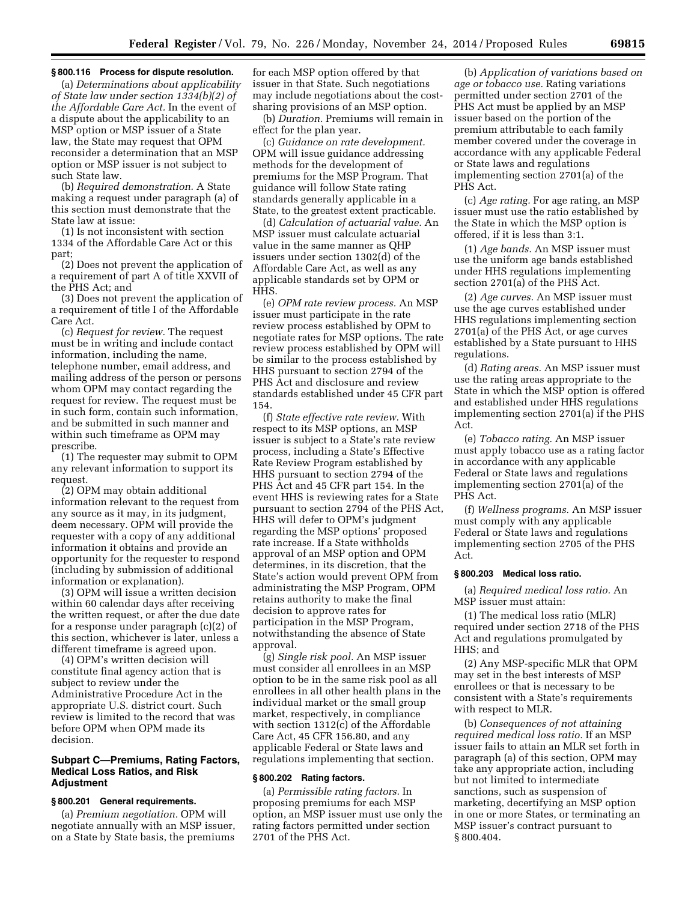#### **§ 800.116 Process for dispute resolution.**

(a) *Determinations about applicability of State law under section 1334(b)(2) of the Affordable Care Act.* In the event of a dispute about the applicability to an MSP option or MSP issuer of a State law, the State may request that OPM reconsider a determination that an MSP option or MSP issuer is not subject to such State law.

(b) *Required demonstration.* A State making a request under paragraph (a) of this section must demonstrate that the State law at issue:

(1) Is not inconsistent with section 1334 of the Affordable Care Act or this part;

(2) Does not prevent the application of a requirement of part A of title XXVII of the PHS Act; and

(3) Does not prevent the application of a requirement of title I of the Affordable Care Act.

(c) *Request for review.* The request must be in writing and include contact information, including the name, telephone number, email address, and mailing address of the person or persons whom OPM may contact regarding the request for review. The request must be in such form, contain such information, and be submitted in such manner and within such timeframe as OPM may prescribe.

(1) The requester may submit to OPM any relevant information to support its request.

(2) OPM may obtain additional information relevant to the request from any source as it may, in its judgment, deem necessary. OPM will provide the requester with a copy of any additional information it obtains and provide an opportunity for the requester to respond (including by submission of additional information or explanation).

(3) OPM will issue a written decision within 60 calendar days after receiving the written request, or after the due date for a response under paragraph (c)(2) of this section, whichever is later, unless a different timeframe is agreed upon.

(4) OPM's written decision will constitute final agency action that is subject to review under the Administrative Procedure Act in the appropriate U.S. district court. Such review is limited to the record that was before OPM when OPM made its decision.

## **Subpart C—Premiums, Rating Factors, Medical Loss Ratios, and Risk Adjustment**

## **§ 800.201 General requirements.**

(a) *Premium negotiation.* OPM will negotiate annually with an MSP issuer, on a State by State basis, the premiums

for each MSP option offered by that issuer in that State. Such negotiations may include negotiations about the costsharing provisions of an MSP option.

(b) *Duration.* Premiums will remain in effect for the plan year.

(c) *Guidance on rate development.*  OPM will issue guidance addressing methods for the development of premiums for the MSP Program. That guidance will follow State rating standards generally applicable in a State, to the greatest extent practicable.

(d) *Calculation of actuarial value.* An MSP issuer must calculate actuarial value in the same manner as QHP issuers under section 1302(d) of the Affordable Care Act, as well as any applicable standards set by OPM or HHS.

(e) *OPM rate review process.* An MSP issuer must participate in the rate review process established by OPM to negotiate rates for MSP options. The rate review process established by OPM will be similar to the process established by HHS pursuant to section 2794 of the PHS Act and disclosure and review standards established under 45 CFR part 154.

(f) *State effective rate review.* With respect to its MSP options, an MSP issuer is subject to a State's rate review process, including a State's Effective Rate Review Program established by HHS pursuant to section 2794 of the PHS Act and 45 CFR part 154. In the event HHS is reviewing rates for a State pursuant to section 2794 of the PHS Act, HHS will defer to OPM's judgment regarding the MSP options' proposed rate increase. If a State withholds approval of an MSP option and OPM determines, in its discretion, that the State's action would prevent OPM from administrating the MSP Program, OPM retains authority to make the final decision to approve rates for participation in the MSP Program, notwithstanding the absence of State approval.

(g) *Single risk pool.* An MSP issuer must consider all enrollees in an MSP option to be in the same risk pool as all enrollees in all other health plans in the individual market or the small group market, respectively, in compliance with section 1312(c) of the Affordable Care Act, 45 CFR 156.80, and any applicable Federal or State laws and regulations implementing that section.

#### **§ 800.202 Rating factors.**

(a) *Permissible rating factors.* In proposing premiums for each MSP option, an MSP issuer must use only the rating factors permitted under section 2701 of the PHS Act.

(b) *Application of variations based on age or tobacco use.* Rating variations permitted under section 2701 of the PHS Act must be applied by an MSP issuer based on the portion of the premium attributable to each family member covered under the coverage in accordance with any applicable Federal or State laws and regulations implementing section 2701(a) of the PHS Act.

(c) *Age rating.* For age rating, an MSP issuer must use the ratio established by the State in which the MSP option is offered, if it is less than 3:1.

(1) *Age bands.* An MSP issuer must use the uniform age bands established under HHS regulations implementing section 2701(a) of the PHS Act.

(2) *Age curves.* An MSP issuer must use the age curves established under HHS regulations implementing section 2701(a) of the PHS Act, or age curves established by a State pursuant to HHS regulations.

(d) *Rating areas.* An MSP issuer must use the rating areas appropriate to the State in which the MSP option is offered and established under HHS regulations implementing section 2701(a) if the PHS Act.

(e) *Tobacco rating.* An MSP issuer must apply tobacco use as a rating factor in accordance with any applicable Federal or State laws and regulations implementing section 2701(a) of the PHS Act.

(f) *Wellness programs.* An MSP issuer must comply with any applicable Federal or State laws and regulations implementing section 2705 of the PHS Act.

### **§ 800.203 Medical loss ratio.**

(a) *Required medical loss ratio.* An MSP issuer must attain:

(1) The medical loss ratio (MLR) required under section 2718 of the PHS Act and regulations promulgated by HHS; and

(2) Any MSP-specific MLR that OPM may set in the best interests of MSP enrollees or that is necessary to be consistent with a State's requirements with respect to MLR.

(b) *Consequences of not attaining required medical loss ratio.* If an MSP issuer fails to attain an MLR set forth in paragraph (a) of this section, OPM may take any appropriate action, including but not limited to intermediate sanctions, such as suspension of marketing, decertifying an MSP option in one or more States, or terminating an MSP issuer's contract pursuant to § 800.404.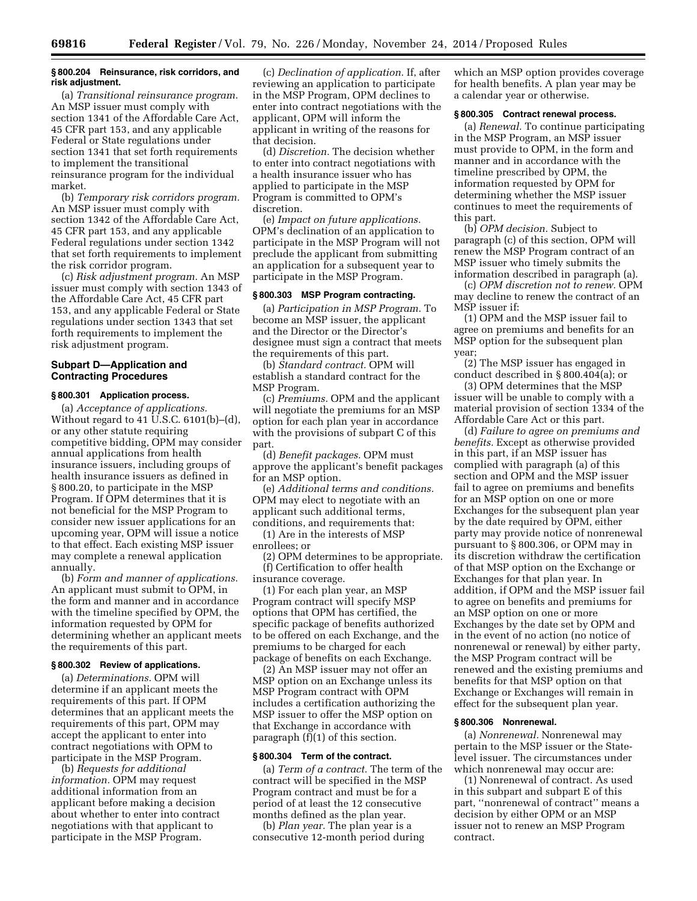### **§ 800.204 Reinsurance, risk corridors, and risk adjustment.**

(a) *Transitional reinsurance program.*  An MSP issuer must comply with section 1341 of the Affordable Care Act, 45 CFR part 153, and any applicable Federal or State regulations under section 1341 that set forth requirements to implement the transitional reinsurance program for the individual market.

(b) *Temporary risk corridors program.*  An MSP issuer must comply with section 1342 of the Affordable Care Act, 45 CFR part 153, and any applicable Federal regulations under section 1342 that set forth requirements to implement the risk corridor program.

(c) *Risk adjustment program.* An MSP issuer must comply with section 1343 of the Affordable Care Act, 45 CFR part 153, and any applicable Federal or State regulations under section 1343 that set forth requirements to implement the risk adjustment program.

### **Subpart D—Application and Contracting Procedures**

### **§ 800.301 Application process.**

(a) *Acceptance of applications.*  Without regard to 41 U.S.C. 6101(b)–(d), or any other statute requiring competitive bidding, OPM may consider annual applications from health insurance issuers, including groups of health insurance issuers as defined in § 800.20, to participate in the MSP Program. If OPM determines that it is not beneficial for the MSP Program to consider new issuer applications for an upcoming year, OPM will issue a notice to that effect. Each existing MSP issuer may complete a renewal application annually.

(b) *Form and manner of applications.*  An applicant must submit to OPM, in the form and manner and in accordance with the timeline specified by OPM, the information requested by OPM for determining whether an applicant meets the requirements of this part.

#### **§ 800.302 Review of applications.**

(a) *Determinations.* OPM will determine if an applicant meets the requirements of this part. If OPM determines that an applicant meets the requirements of this part, OPM may accept the applicant to enter into contract negotiations with OPM to participate in the MSP Program.

(b) *Requests for additional information.* OPM may request additional information from an applicant before making a decision about whether to enter into contract negotiations with that applicant to participate in the MSP Program.

(c) *Declination of application.* If, after reviewing an application to participate in the MSP Program, OPM declines to enter into contract negotiations with the applicant, OPM will inform the applicant in writing of the reasons for that decision.

(d) *Discretion.* The decision whether to enter into contract negotiations with a health insurance issuer who has applied to participate in the MSP Program is committed to OPM's discretion.

(e) *Impact on future applications.*  OPM's declination of an application to participate in the MSP Program will not preclude the applicant from submitting an application for a subsequent year to participate in the MSP Program.

# **§ 800.303 MSP Program contracting.**

(a) *Participation in MSP Program.* To become an MSP issuer, the applicant and the Director or the Director's designee must sign a contract that meets the requirements of this part.

(b) *Standard contract.* OPM will establish a standard contract for the MSP Program.

(c) *Premiums.* OPM and the applicant will negotiate the premiums for an MSP option for each plan year in accordance with the provisions of subpart C of this part.

(d) *Benefit packages.* OPM must approve the applicant's benefit packages for an MSP option.

(e) *Additional terms and conditions.*  OPM may elect to negotiate with an applicant such additional terms, conditions, and requirements that:

(1) Are in the interests of MSP enrollees; or

(2) OPM determines to be appropriate. (f) Certification to offer health

insurance coverage.

(1) For each plan year, an MSP Program contract will specify MSP options that OPM has certified, the specific package of benefits authorized to be offered on each Exchange, and the premiums to be charged for each package of benefits on each Exchange.

(2) An MSP issuer may not offer an MSP option on an Exchange unless its MSP Program contract with OPM includes a certification authorizing the MSP issuer to offer the MSP option on that Exchange in accordance with paragraph (f)(1) of this section.

#### **§ 800.304 Term of the contract.**

(a) *Term of a contract.* The term of the contract will be specified in the MSP Program contract and must be for a period of at least the 12 consecutive months defined as the plan year.

(b) *Plan year.* The plan year is a consecutive 12-month period during which an MSP option provides coverage for health benefits. A plan year may be a calendar year or otherwise.

#### **§ 800.305 Contract renewal process.**

(a) *Renewal.* To continue participating in the MSP Program, an MSP issuer must provide to OPM, in the form and manner and in accordance with the timeline prescribed by OPM, the information requested by OPM for determining whether the MSP issuer continues to meet the requirements of this part.

(b) *OPM decision.* Subject to paragraph (c) of this section, OPM will renew the MSP Program contract of an MSP issuer who timely submits the information described in paragraph (a).

(c) *OPM discretion not to renew.* OPM may decline to renew the contract of an MSP issuer if:

(1) OPM and the MSP issuer fail to agree on premiums and benefits for an MSP option for the subsequent plan year;

(2) The MSP issuer has engaged in conduct described in § 800.404(a); or

(3) OPM determines that the MSP issuer will be unable to comply with a material provision of section 1334 of the Affordable Care Act or this part.

(d) *Failure to agree on premiums and benefits.* Except as otherwise provided in this part, if an MSP issuer has complied with paragraph (a) of this section and OPM and the MSP issuer fail to agree on premiums and benefits for an MSP option on one or more Exchanges for the subsequent plan year by the date required by OPM, either party may provide notice of nonrenewal pursuant to § 800.306, or OPM may in its discretion withdraw the certification of that MSP option on the Exchange or Exchanges for that plan year. In addition, if OPM and the MSP issuer fail to agree on benefits and premiums for an MSP option on one or more Exchanges by the date set by OPM and in the event of no action (no notice of nonrenewal or renewal) by either party, the MSP Program contract will be renewed and the existing premiums and benefits for that MSP option on that Exchange or Exchanges will remain in effect for the subsequent plan year.

#### **§ 800.306 Nonrenewal.**

(a) *Nonrenewal.* Nonrenewal may pertain to the MSP issuer or the Statelevel issuer. The circumstances under which nonrenewal may occur are:

(1) Nonrenewal of contract. As used in this subpart and subpart E of this part, ''nonrenewal of contract'' means a decision by either OPM or an MSP issuer not to renew an MSP Program contract.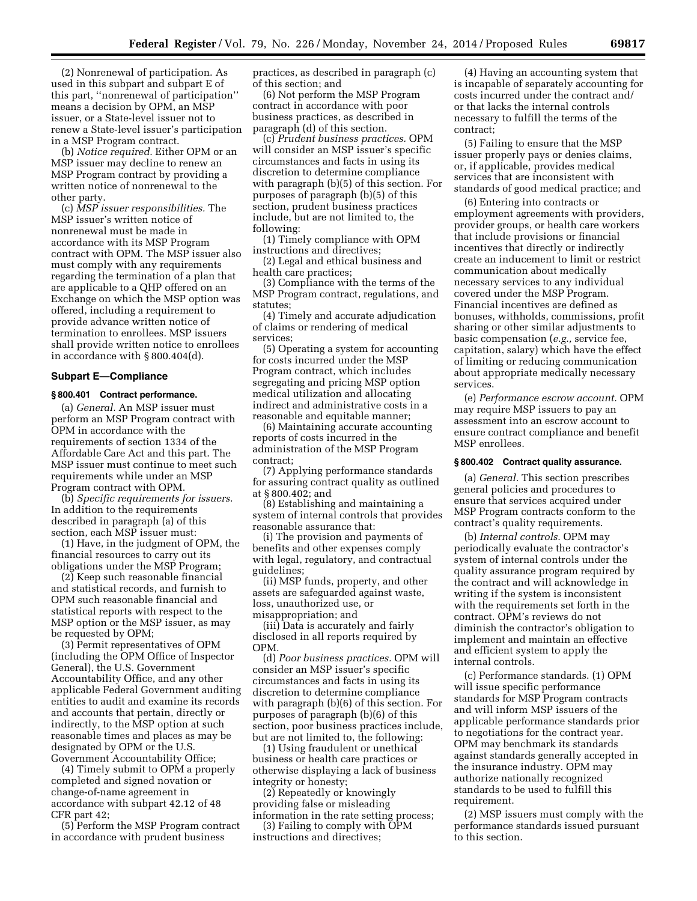(2) Nonrenewal of participation. As used in this subpart and subpart E of this part, ''nonrenewal of participation'' means a decision by OPM, an MSP issuer, or a State-level issuer not to renew a State-level issuer's participation in a MSP Program contract.

(b) *Notice required.* Either OPM or an MSP issuer may decline to renew an MSP Program contract by providing a written notice of nonrenewal to the other party.

(c) *MSP issuer responsibilities.* The MSP issuer's written notice of nonrenewal must be made in accordance with its MSP Program contract with OPM. The MSP issuer also must comply with any requirements regarding the termination of a plan that are applicable to a QHP offered on an Exchange on which the MSP option was offered, including a requirement to provide advance written notice of termination to enrollees. MSP issuers shall provide written notice to enrollees in accordance with § 800.404(d).

### **Subpart E—Compliance**

### **§ 800.401 Contract performance.**

(a) *General.* An MSP issuer must perform an MSP Program contract with OPM in accordance with the requirements of section 1334 of the Affordable Care Act and this part. The MSP issuer must continue to meet such requirements while under an MSP Program contract with OPM.

(b) *Specific requirements for issuers.*  In addition to the requirements described in paragraph (a) of this section, each MSP issuer must:

(1) Have, in the judgment of OPM, the financial resources to carry out its obligations under the MSP Program;

(2) Keep such reasonable financial and statistical records, and furnish to OPM such reasonable financial and statistical reports with respect to the MSP option or the MSP issuer, as may be requested by OPM;

(3) Permit representatives of OPM (including the OPM Office of Inspector General), the U.S. Government Accountability Office, and any other applicable Federal Government auditing entities to audit and examine its records and accounts that pertain, directly or indirectly, to the MSP option at such reasonable times and places as may be designated by OPM or the U.S. Government Accountability Office;

(4) Timely submit to OPM a properly completed and signed novation or change-of-name agreement in accordance with subpart 42.12 of 48 CFR part 42;

(5) Perform the MSP Program contract in accordance with prudent business

practices, as described in paragraph (c) of this section; and

(6) Not perform the MSP Program contract in accordance with poor business practices, as described in paragraph (d) of this section.

(c) *Prudent business practices.* OPM will consider an MSP issuer's specific circumstances and facts in using its discretion to determine compliance with paragraph (b)(5) of this section. For purposes of paragraph (b)(5) of this section, prudent business practices include, but are not limited to, the following:

(1) Timely compliance with OPM instructions and directives;

(2) Legal and ethical business and health care practices;

(3) Compliance with the terms of the MSP Program contract, regulations, and statutes;

(4) Timely and accurate adjudication of claims or rendering of medical services;

(5) Operating a system for accounting for costs incurred under the MSP Program contract, which includes segregating and pricing MSP option medical utilization and allocating indirect and administrative costs in a reasonable and equitable manner;

(6) Maintaining accurate accounting reports of costs incurred in the administration of the MSP Program contract;

(7) Applying performance standards for assuring contract quality as outlined at § 800.402; and

(8) Establishing and maintaining a system of internal controls that provides reasonable assurance that:

(i) The provision and payments of benefits and other expenses comply with legal, regulatory, and contractual guidelines;

(ii) MSP funds, property, and other assets are safeguarded against waste, loss, unauthorized use, or misappropriation; and

(iii) Data is accurately and fairly disclosed in all reports required by OPM.

(d) *Poor business practices.* OPM will consider an MSP issuer's specific circumstances and facts in using its discretion to determine compliance with paragraph (b)(6) of this section. For purposes of paragraph (b)(6) of this section, poor business practices include, but are not limited to, the following:

(1) Using fraudulent or unethical business or health care practices or otherwise displaying a lack of business integrity or honesty;

(2) Repeatedly or knowingly providing false or misleading information in the rate setting process;

(3) Failing to comply with OPM instructions and directives;

(4) Having an accounting system that is incapable of separately accounting for costs incurred under the contract and/ or that lacks the internal controls necessary to fulfill the terms of the contract;

(5) Failing to ensure that the MSP issuer properly pays or denies claims, or, if applicable, provides medical services that are inconsistent with standards of good medical practice; and

(6) Entering into contracts or employment agreements with providers, provider groups, or health care workers that include provisions or financial incentives that directly or indirectly create an inducement to limit or restrict communication about medically necessary services to any individual covered under the MSP Program. Financial incentives are defined as bonuses, withholds, commissions, profit sharing or other similar adjustments to basic compensation (*e.g.,* service fee, capitation, salary) which have the effect of limiting or reducing communication about appropriate medically necessary services.

(e) *Performance escrow account.* OPM may require MSP issuers to pay an assessment into an escrow account to ensure contract compliance and benefit MSP enrollees.

#### **§ 800.402 Contract quality assurance.**

(a) *General.* This section prescribes general policies and procedures to ensure that services acquired under MSP Program contracts conform to the contract's quality requirements.

(b) *Internal controls.* OPM may periodically evaluate the contractor's system of internal controls under the quality assurance program required by the contract and will acknowledge in writing if the system is inconsistent with the requirements set forth in the contract. OPM's reviews do not diminish the contractor's obligation to implement and maintain an effective and efficient system to apply the internal controls.

(c) Performance standards. (1) OPM will issue specific performance standards for MSP Program contracts and will inform MSP issuers of the applicable performance standards prior to negotiations for the contract year. OPM may benchmark its standards against standards generally accepted in the insurance industry. OPM may authorize nationally recognized standards to be used to fulfill this requirement.

(2) MSP issuers must comply with the performance standards issued pursuant to this section.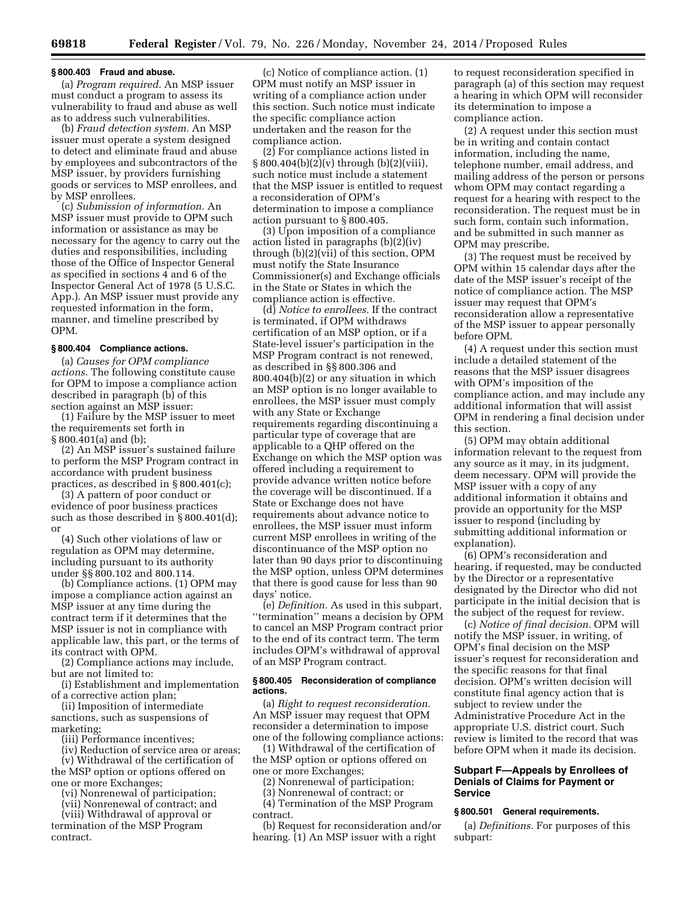#### **§ 800.403 Fraud and abuse.**

(a) *Program required.* An MSP issuer must conduct a program to assess its vulnerability to fraud and abuse as well as to address such vulnerabilities.

(b) *Fraud detection system.* An MSP issuer must operate a system designed to detect and eliminate fraud and abuse by employees and subcontractors of the MSP issuer, by providers furnishing goods or services to MSP enrollees, and by MSP enrollees.

(c) *Submission of information.* An MSP issuer must provide to OPM such information or assistance as may be necessary for the agency to carry out the duties and responsibilities, including those of the Office of Inspector General as specified in sections 4 and 6 of the Inspector General Act of 1978 (5 U.S.C. App.). An MSP issuer must provide any requested information in the form, manner, and timeline prescribed by OPM.

# **§ 800.404 Compliance actions.**

(a) *Causes for OPM compliance actions.* The following constitute cause for OPM to impose a compliance action described in paragraph (b) of this section against an MSP issuer:

(1) Failure by the MSP issuer to meet the requirements set forth in § 800.401(a) and (b);

(2) An MSP issuer's sustained failure to perform the MSP Program contract in accordance with prudent business practices, as described in § 800.401(c);

(3) A pattern of poor conduct or evidence of poor business practices such as those described in § 800.401(d); or

(4) Such other violations of law or regulation as OPM may determine, including pursuant to its authority under §§ 800.102 and 800.114.

(b) Compliance actions. (1) OPM may impose a compliance action against an MSP issuer at any time during the contract term if it determines that the MSP issuer is not in compliance with applicable law, this part, or the terms of its contract with OPM.

(2) Compliance actions may include, but are not limited to:

(i) Establishment and implementation of a corrective action plan;

(ii) Imposition of intermediate sanctions, such as suspensions of marketing;

(iii) Performance incentives;

(iv) Reduction of service area or areas;

(v) Withdrawal of the certification of the MSP option or options offered on

one or more Exchanges; (vi) Nonrenewal of participation;

(vii) Nonrenewal of contract; and

(viii) Withdrawal of approval or termination of the MSP Program

contract.

(c) Notice of compliance action. (1) OPM must notify an MSP issuer in writing of a compliance action under this section. Such notice must indicate the specific compliance action undertaken and the reason for the compliance action.

(2) For compliance actions listed in § 800.404(b)(2)(v) through (b)(2)(viii), such notice must include a statement that the MSP issuer is entitled to request a reconsideration of OPM's determination to impose a compliance action pursuant to § 800.405.

(3) Upon imposition of a compliance action listed in paragraphs (b)(2)(iv) through (b)(2)(vii) of this section, OPM must notify the State Insurance Commissioner(s) and Exchange officials in the State or States in which the compliance action is effective.

(d) *Notice to enrollees.* If the contract is terminated, if OPM withdraws certification of an MSP option, or if a State-level issuer's participation in the MSP Program contract is not renewed, as described in §§ 800.306 and 800.404(b)(2) or any situation in which an MSP option is no longer available to enrollees, the MSP issuer must comply with any State or Exchange requirements regarding discontinuing a particular type of coverage that are applicable to a QHP offered on the Exchange on which the MSP option was offered including a requirement to provide advance written notice before the coverage will be discontinued. If a State or Exchange does not have requirements about advance notice to enrollees, the MSP issuer must inform current MSP enrollees in writing of the discontinuance of the MSP option no later than 90 days prior to discontinuing the MSP option, unless OPM determines that there is good cause for less than 90 days' notice.

(e) *Definition.* As used in this subpart, ''termination'' means a decision by OPM to cancel an MSP Program contract prior to the end of its contract term. The term includes OPM's withdrawal of approval of an MSP Program contract.

#### **§ 800.405 Reconsideration of compliance actions.**

(a) *Right to request reconsideration.*  An MSP issuer may request that OPM reconsider a determination to impose one of the following compliance actions:

(1) Withdrawal of the certification of the MSP option or options offered on one or more Exchanges;

(2) Nonrenewal of participation;

(3) Nonrenewal of contract; or

(4) Termination of the MSP Program contract.

(b) Request for reconsideration and/or hearing. (1) An MSP issuer with a right

to request reconsideration specified in paragraph (a) of this section may request a hearing in which OPM will reconsider its determination to impose a compliance action.

(2) A request under this section must be in writing and contain contact information, including the name, telephone number, email address, and mailing address of the person or persons whom OPM may contact regarding a request for a hearing with respect to the reconsideration. The request must be in such form, contain such information, and be submitted in such manner as OPM may prescribe.

(3) The request must be received by OPM within 15 calendar days after the date of the MSP issuer's receipt of the notice of compliance action. The MSP issuer may request that OPM's reconsideration allow a representative of the MSP issuer to appear personally before OPM.

(4) A request under this section must include a detailed statement of the reasons that the MSP issuer disagrees with OPM's imposition of the compliance action, and may include any additional information that will assist OPM in rendering a final decision under this section.

(5) OPM may obtain additional information relevant to the request from any source as it may, in its judgment, deem necessary. OPM will provide the MSP issuer with a copy of any additional information it obtains and provide an opportunity for the MSP issuer to respond (including by submitting additional information or explanation).

(6) OPM's reconsideration and hearing, if requested, may be conducted by the Director or a representative designated by the Director who did not participate in the initial decision that is the subject of the request for review.

(c) *Notice of final decision.* OPM will notify the MSP issuer, in writing, of OPM's final decision on the MSP issuer's request for reconsideration and the specific reasons for that final decision. OPM's written decision will constitute final agency action that is subject to review under the Administrative Procedure Act in the appropriate U.S. district court. Such review is limited to the record that was before OPM when it made its decision.

## **Subpart F—Appeals by Enrollees of Denials of Claims for Payment or Service**

## **§ 800.501 General requirements.**

(a) *Definitions.* For purposes of this subpart: